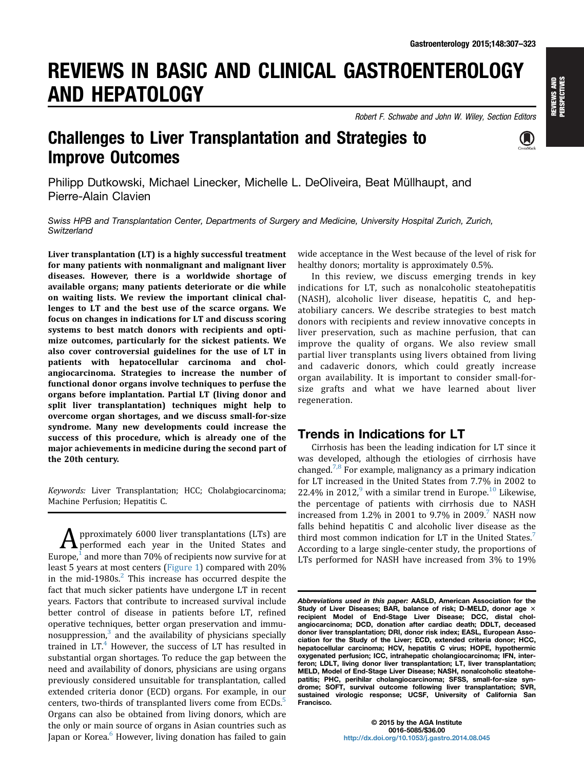# REVIEWS IN BASIC AND CLINICAL GASTROENTEROLOGY AND HEPATOLOGY

Robert F. Schwabe and John W. Wiley, Section Editors



# Challenges to Liver Transplantation and Strategies to Improve Outcomes

Philipp Dutkowski, Michael Linecker, Michelle L. DeOliveira, Beat Müllhaupt, and Pierre-Alain Clavien

Swiss HPB and Transplantation Center, Departments of Surgery and Medicine, University Hospital Zurich, Zurich, **Switzerland** 

Liver transplantation (LT) is a highly successful treatment for many patients with nonmalignant and malignant liver diseases. However, there is a worldwide shortage of available organs; many patients deteriorate or die while on waiting lists. We review the important clinical challenges to LT and the best use of the scarce organs. We focus on changes in indications for LT and discuss scoring systems to best match donors with recipients and optimize outcomes, particularly for the sickest patients. We also cover controversial guidelines for the use of LT in patients with hepatocellular carcinoma and cholangiocarcinoma. Strategies to increase the number of functional donor organs involve techniques to perfuse the organs before implantation. Partial LT (living donor and split liver transplantation) techniques might help to overcome organ shortages, and we discuss small-for-size syndrome. Many new developments could increase the success of this procedure, which is already one of the major achievements in medicine during the second part of the 20th century.

Keywords: Liver Transplantation; HCC; Cholabgiocarcinoma; Machine Perfusion; Hepatitis C.

 $\bf{A}$  pproximately 6000 liver transplantations (LTs) are performed each year in the United States and Europe, $1$  and more than 70% of recipients now survive for at least 5 years at most centers ([Figure 1](#page-1-0)) compared with 20% in the mid-1980s. $<sup>2</sup>$  This increase has occurred despite the</sup> fact that much sicker patients have undergone LT in recent years. Factors that contribute to increased survival include better control of disease in patients before LT, refined operative techniques, better organ preservation and immunosuppression, $3$  and the availability of physicians specially trained in  $LT<sup>4</sup>$  However, the success of LT has resulted in substantial organ shortages. To reduce the gap between the need and availability of donors, physicians are using organs previously considered unsuitable for transplantation, called extended criteria donor (ECD) organs. For example, in our centers, two-thirds of transplanted livers come from ECDs.<sup>5</sup> Organs can also be obtained from living donors, which are the only or main source of organs in Asian countries such as Japan or Korea.<sup>[6](#page-11-0)</sup> However, living donation has failed to gain

wide acceptance in the West because of the level of risk for healthy donors; mortality is approximately 0.5%.

In this review, we discuss emerging trends in key indications for LT, such as nonalcoholic steatohepatitis (NASH), alcoholic liver disease, hepatitis C, and hepatobiliary cancers. We describe strategies to best match donors with recipients and review innovative concepts in liver preservation, such as machine perfusion, that can improve the quality of organs. We also review small partial liver transplants using livers obtained from living and cadaveric donors, which could greatly increase organ availability. It is important to consider small-forsize grafts and what we have learned about liver regeneration.

# Trends in Indications for LT

Cirrhosis has been the leading indication for LT since it was developed, although the etiologies of cirrhosis have changed.<sup>[7,8](#page-11-0)</sup> For example, malignancy as a primary indication for LT increased in the United States from 7.7% in 2002 to 22.4% in 2012, $9$  with a similar trend in Europe.<sup>10</sup> Likewise, the percentage of patients with cirrhosis due to NASH increased from 1.2% in 2001 to 9.[7](#page-11-0)% in 2009.<sup>7</sup> NASH now falls behind hepatitis C and alcoholic liver disease as the third most common indication for LT in the United States.<sup>[7](#page-11-0)</sup> According to a large single-center study, the proportions of LTs performed for NASH have increased from 3% to 19%

Abbreviations used in this paper: AASLD, American Association for the Study of Liver Diseases; BAR, balance of risk; D-MELD, donor age  $\times$ recipient Model of End-Stage Liver Disease; DCC, distal cholangiocarcinoma; DCD, donation after cardiac death; DDLT, deceased donor liver transplantation; DRI, donor risk index; EASL, European Association for the Study of the Liver; ECD, extended criteria donor; HCC, hepatocellular carcinoma; HCV, hepatitis C virus; HOPE, hypothermic oxygenated perfusion; ICC, intrahepatic cholangiocarcinoma; IFN, interferon; LDLT, living donor liver transplantation; LT, liver transplantation; MELD, Model of End-Stage Liver Disease; NASH, nonalcoholic steatohepatitis; PHC, perihilar cholangiocarcinoma; SFSS, small-for-size syndrome; SOFT, survival outcome following liver transplantation; SVR, sustained virologic response; UCSF, University of California San Francisco.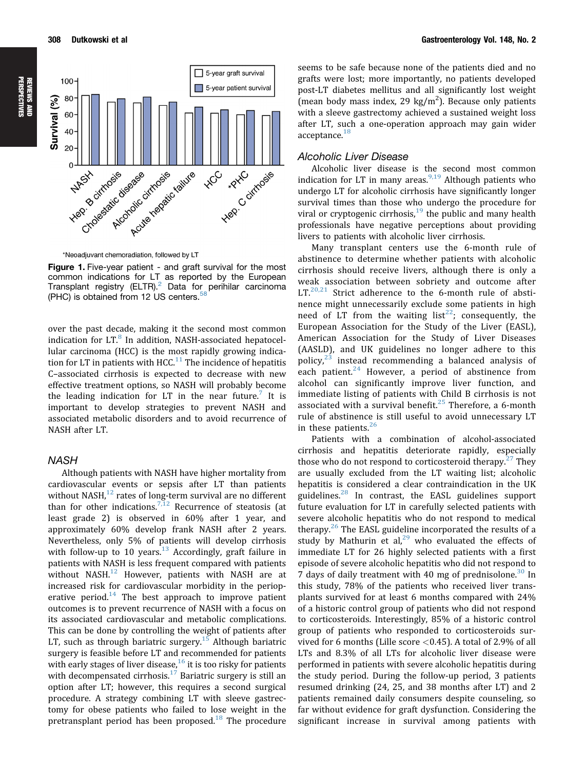<span id="page-1-0"></span>



\*Neoadjuvant chemoradiation, followed by LT

Figure 1. Five-year patient - and graft survival for the most common indications for LT as reported by the European<br>Transplant registry (ELTR).<sup>[2](#page-10-0)</sup> Data for perihilar carcinoma (PHC) is obtained from 12 US centers.  $58$ 

over the past decade, making it the second most common indication for  $LT<sup>8</sup>$  $LT<sup>8</sup>$  $LT<sup>8</sup>$  In addition, NASH-associated hepatocellular carcinoma (HCC) is the most rapidly growing indication for LT in patients with  $HCC<sup>11</sup>$  $HCC<sup>11</sup>$  $HCC<sup>11</sup>$  The incidence of hepatitis C–associated cirrhosis is expected to decrease with new effective treatment options, so NASH will probably become the leading indication for LT in the near future.<sup>7</sup> It is important to develop strategies to prevent NASH and associated metabolic disorders and to avoid recurrence of NASH after LT.

### **NASH**

Although patients with NASH have higher mortality from cardiovascular events or sepsis after LT than patients without NASH, $^{12}$  $^{12}$  $^{12}$  rates of long-term survival are no different than for other indications.<sup>[7,12](#page-11-0)</sup> Recurrence of steatosis (at least grade 2) is observed in 60% after 1 year, and approximately 60% develop frank NASH after 2 years. Nevertheless, only 5% of patients will develop cirrhosis with follow-up to 10 years. $13$  Accordingly, graft failure in patients with NASH is less frequent compared with patients without NASH.<sup>[12](#page-11-0)</sup> However, patients with NASH are at increased risk for cardiovascular morbidity in the perioperative period. $14$  The best approach to improve patient outcomes is to prevent recurrence of NASH with a focus on its associated cardiovascular and metabolic complications. This can be done by controlling the weight of patients after LT, such as through bariatric surgery.<sup>[15](#page-11-0)</sup> Although bariatric surgery is feasible before LT and recommended for patients with early stages of liver disease, $16$  it is too risky for patients with decompensated cirrhosis. $17$  Bariatric surgery is still an option after LT; however, this requires a second surgical procedure. A strategy combining LT with sleeve gastrectomy for obese patients who failed to lose weight in the pretransplant period has been proposed.<sup>[18](#page-11-0)</sup> The procedure

seems to be safe because none of the patients died and no grafts were lost; more importantly, no patients developed post-LT diabetes mellitus and all significantly lost weight (mean body mass index, 29  $\text{kg/m}^2$ ). Because only patients with a sleeve gastrectomy achieved a sustained weight loss after LT, such a one-operation approach may gain wider acceptance.<sup>[18](#page-11-0)</sup>

### Alcoholic Liver Disease

Alcoholic liver disease is the second most common indication for LT in many areas.  $9,19$  Although patients who undergo LT for alcoholic cirrhosis have significantly longer survival times than those who undergo the procedure for viral or cryptogenic cirrhosis,  $19$  the public and many health professionals have negative perceptions about providing livers to patients with alcoholic liver cirrhosis.

Many transplant centers use the 6-month rule of abstinence to determine whether patients with alcoholic cirrhosis should receive livers, although there is only a weak association between sobriety and outcome after LT. $20,21$  Strict adherence to the 6-month rule of abstinence might unnecessarily exclude some patients in high need of LT from the waiting  $list^{22}$  $list^{22}$  $list^{22}$ ; consequently, the European Association for the Study of the Liver (EASL), American Association for the Study of Liver Diseases (AASLD), and UK guidelines no longer adhere to this policy, $23$  instead recommending a balanced analysis of each patient.<sup>[24](#page-11-0)</sup> However, a period of abstinence from alcohol can significantly improve liver function, and immediate listing of patients with Child B cirrhosis is not associated with a survival benefit.<sup>[25](#page-11-0)</sup> Therefore, a 6-month rule of abstinence is still useful to avoid unnecessary LT in these patients.<sup>[26](#page-11-0)</sup>

Patients with a combination of alcohol-associated cirrhosis and hepatitis deteriorate rapidly, especially those who do not respond to corticosteroid therapy.<sup>[27](#page-11-0)</sup> They are usually excluded from the LT waiting list; alcoholic hepatitis is considered a clear contraindication in the UK guidelines. $^{28}$  $^{28}$  $^{28}$  In contrast, the EASL guidelines support future evaluation for LT in carefully selected patients with severe alcoholic hepatitis who do not respond to medical therapy.<sup>[26](#page-11-0)</sup> The EASL guideline incorporated the results of a study by Mathurin et al, $^{29}$  $^{29}$  $^{29}$  who evaluated the effects of immediate LT for 26 highly selected patients with a first episode of severe alcoholic hepatitis who did not respond to 7 days of daily treatment with 40 mg of prednisolone.<sup>[30](#page-11-0)</sup> In this study, 78% of the patients who received liver transplants survived for at least 6 months compared with 24% of a historic control group of patients who did not respond to corticosteroids. Interestingly, 85% of a historic control group of patients who responded to corticosteroids survived for 6 months (Lille score  $<$  0.45). A total of 2.9% of all LTs and 8.3% of all LTs for alcoholic liver disease were performed in patients with severe alcoholic hepatitis during the study period. During the follow-up period, 3 patients resumed drinking (24, 25, and 38 months after LT) and 2 patients remained daily consumers despite counseling, so far without evidence for graft dysfunction. Considering the significant increase in survival among patients with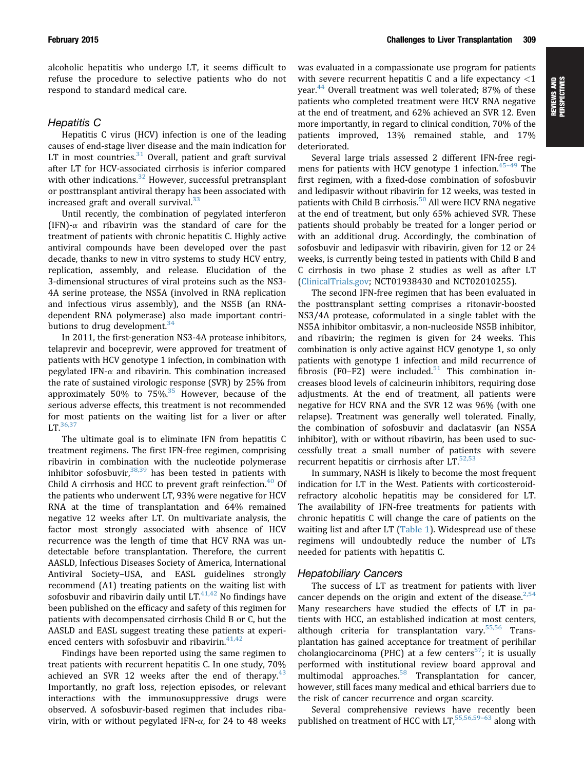alcoholic hepatitis who undergo LT, it seems difficult to refuse the procedure to selective patients who do not respond to standard medical care.

### Hepatitis C

Hepatitis C virus (HCV) infection is one of the leading causes of end-stage liver disease and the main indication for LT in most countries. $31$  Overall, patient and graft survival after LT for HCV-associated cirrhosis is inferior compared with other indications.<sup>[32](#page-11-0)</sup> However, successful pretransplant or posttransplant antiviral therapy has been associated with increased graft and overall survival.<sup>[33](#page-11-0)</sup>

Until recently, the combination of pegylated interferon  $(IFN)$ - $\alpha$  and ribavirin was the standard of care for the treatment of patients with chronic hepatitis C. Highly active antiviral compounds have been developed over the past decade, thanks to new in vitro systems to study HCV entry, replication, assembly, and release. Elucidation of the 3-dimensional structures of viral proteins such as the NS3- 4A serine protease, the NS5A (involved in RNA replication and infectious virus assembly), and the NS5B (an RNAdependent RNA polymerase) also made important contributions to drug development. $34$ 

In 2011, the first-generation NS3-4A protease inhibitors, telaprevir and boceprevir, were approved for treatment of patients with HCV genotype 1 infection, in combination with pegylated IFN- $\alpha$  and ribavirin. This combination increased the rate of sustained virologic response (SVR) by 25% from approximately 50% to  $75\%$ .<sup>[35](#page-11-0)</sup> However, because of the serious adverse effects, this treatment is not recommended for most patients on the waiting list for a liver or after  $LT$ <sup>[36,37](#page-11-0)</sup>

The ultimate goal is to eliminate IFN from hepatitis C treatment regimens. The first IFN-free regimen, comprising ribavirin in combination with the nucleotide polymerase inhibitor sofosbuvir,  $38,39$  has been tested in patients with Child A cirrhosis and HCC to prevent graft reinfection. $40$  Of the patients who underwent LT, 93% were negative for HCV RNA at the time of transplantation and 64% remained negative 12 weeks after LT. On multivariate analysis, the factor most strongly associated with absence of HCV recurrence was the length of time that HCV RNA was undetectable before transplantation. Therefore, the current AASLD, Infectious Diseases Society of America, International Antiviral Society–USA, and EASL guidelines strongly recommend (A1) treating patients on the waiting list with sofosbuvir and ribavirin daily until  $LT^{41,42}$  $LT^{41,42}$  $LT^{41,42}$  No findings have been published on the efficacy and safety of this regimen for patients with decompensated cirrhosis Child B or C, but the AASLD and EASL suggest treating these patients at experienced centers with sofosbuvir and ribavirin. $41,42$ 

Findings have been reported using the same regimen to treat patients with recurrent hepatitis C. In one study, 70% achieved an SVR 12 weeks after the end of therapy. $43$ Importantly, no graft loss, rejection episodes, or relevant interactions with the immunosuppressive drugs were observed. A sofosbuvir-based regimen that includes ribavirin, with or without pegylated IFN- $\alpha$ , for 24 to 48 weeks was evaluated in a compassionate use program for patients with severe recurrent hepatitis C and a life expectancy <1 year.<sup>44</sup> Overall treatment was well tolerated; 87% of these patients who completed treatment were HCV RNA negative at the end of treatment, and 62% achieved an SVR 12. Even more importantly, in regard to clinical condition, 70% of the patients improved, 13% remained stable, and 17% deteriorated.

Several large trials assessed 2 different IFN-free regimens for patients with HCV genotype 1 infection. $45-49$  $45-49$  $45-49$  The first regimen, with a fixed-dose combination of sofosbuvir and ledipasvir without ribavirin for 12 weeks, was tested in patients with Child B cirrhosis.<sup>[50](#page-12-0)</sup> All were HCV RNA negative at the end of treatment, but only 65% achieved SVR. These patients should probably be treated for a longer period or with an additional drug. Accordingly, the combination of sofosbuvir and ledipasvir with ribavirin, given for 12 or 24 weeks, is currently being tested in patients with Child B and C cirrhosis in two phase 2 studies as well as after LT ([ClinicalTrials.gov](http://ClinicalTrials.gov); NCT01938430 and NCT02010255).

The second IFN-free regimen that has been evaluated in the posttransplant setting comprises a ritonavir-boosted NS3/4A protease, coformulated in a single tablet with the NS5A inhibitor ombitasvir, a non-nucleoside NS5B inhibitor, and ribavirin; the regimen is given for 24 weeks. This combination is only active against HCV genotype 1, so only patients with genotype 1 infection and mild recurrence of fibrosis  $(F0-F2)$  were included.<sup>[51](#page-12-0)</sup> This combination increases blood levels of calcineurin inhibitors, requiring dose adjustments. At the end of treatment, all patients were negative for HCV RNA and the SVR 12 was 96% (with one relapse). Treatment was generally well tolerated. Finally, the combination of sofosbuvir and daclatasvir (an NS5A inhibitor), with or without ribavirin, has been used to successfully treat a small number of patients with severe recurrent hepatitis or cirrhosis after  $LT$ .<sup>[52,53](#page-12-0)</sup>

In summary, NASH is likely to become the most frequent indication for LT in the West. Patients with corticosteroidrefractory alcoholic hepatitis may be considered for LT. The availability of IFN-free treatments for patients with chronic hepatitis C will change the care of patients on the waiting list and after LT [\(Table 1](#page-3-0)). Widespread use of these regimens will undoubtedly reduce the number of LTs needed for patients with hepatitis C.

### Hepatobiliary Cancers

The success of LT as treatment for patients with liver cancer depends on the origin and extent of the disease  $^{2,54}$  $^{2,54}$  $^{2,54}$ Many researchers have studied the effects of LT in patients with HCC, an established indication at most centers, although criteria for transplantation vary.<sup>[55,56](#page-12-0)</sup> Transplantation has gained acceptance for treatment of perihilar cholangiocarcinoma (PHC) at a few centers<sup>[57](#page-12-0)</sup>; it is usually performed with institutional review board approval and multimodal approaches.<sup>58</sup> Transplantation for cancer, however, still faces many medical and ethical barriers due to the risk of cancer recurrence and organ scarcity.

Several comprehensive reviews have recently been published on treatment of HCC with  $LT$ ,  $55,56,59-63$  $55,56,59-63$  $55,56,59-63$  along with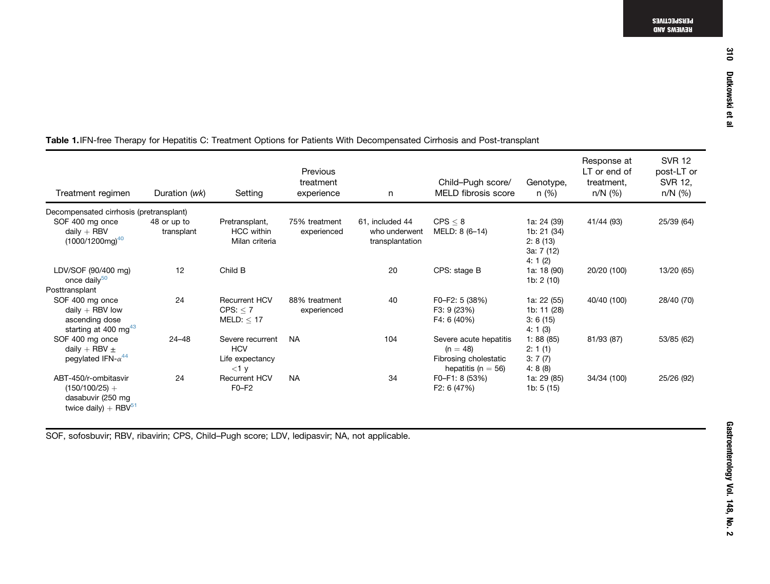| Treatment regimen                                                                           | Duration (wk)             | Setting                                                      | Previous<br>treatment<br>experience | n                                                   | Child-Pugh score/<br><b>MELD</b> fibrosis score                                         | Genotype,<br>n(%)                                                 | Response at<br>LT or end of<br>treatment,<br>$n/N$ (%) | <b>SVR 12</b><br>post-LT or<br>SVR 12,<br>n/N (%) |
|---------------------------------------------------------------------------------------------|---------------------------|--------------------------------------------------------------|-------------------------------------|-----------------------------------------------------|-----------------------------------------------------------------------------------------|-------------------------------------------------------------------|--------------------------------------------------------|---------------------------------------------------|
| Decompensated cirrhosis (pretransplant)                                                     |                           |                                                              |                                     |                                                     |                                                                                         |                                                                   |                                                        |                                                   |
| SOF 400 mg once<br>daily $+$ RBV<br>$(1000/1200$ mg) <sup>40</sup>                          | 48 or up to<br>transplant | Pretransplant,<br><b>HCC</b> within<br>Milan criteria        | 75% treatment<br>experienced        | 61, included 44<br>who underwent<br>transplantation | CPS < 8<br>MELD: 8 (6-14)                                                               | 1a: 24 (39)<br>1b: 21 (34)<br>2: 8(13)<br>3a: 7 (12)<br>4: $1(2)$ | 41/44 (93)                                             | 25/39 (64)                                        |
| LDV/SOF (90/400 mg)<br>once daily <sup>50</sup>                                             | 12                        | Child B                                                      |                                     | 20                                                  | CPS: stage B                                                                            | 1a: 18 (90)<br>1b: $2(10)$                                        | 20/20 (100)                                            | 13/20 (65)                                        |
| Posttransplant                                                                              |                           |                                                              |                                     |                                                     |                                                                                         |                                                                   |                                                        |                                                   |
| SOF 400 mg once<br>daily $+$ RBV low<br>ascending dose<br>starting at 400 mg <sup>43</sup>  | 24                        | <b>Recurrent HCV</b><br>CPS: < 7<br>MELD: < 17               | 88% treatment<br>experienced        | 40                                                  | F0-F2: 5 (38%)<br>F3: 9 (23%)<br>F4: 6 (40%)                                            | 1a: 22 (55)<br>1b: 11 (28)<br>3:6(15)<br>4:1(3)                   | 40/40 (100)                                            | 28/40 (70)                                        |
| SOF 400 mg once<br>daily + RBV $\pm$<br>peqylated IFN- $\alpha^{44}$                        | $24 - 48$                 | Severe recurrent<br><b>HCV</b><br>Life expectancy<br>$<$ 1 y | <b>NA</b>                           | 104                                                 | Severe acute hepatitis<br>$(n = 48)$<br>Fibrosing cholestatic<br>hepatitis ( $n = 56$ ) | 1:88(85)<br>2:1(1)<br>3:7(7)<br>4:8(8)                            | 81/93 (87)                                             | 53/85 (62)                                        |
| ABT-450/r-ombitasvir<br>$(150/100/25) +$<br>dasabuvir (250 mg<br>twice daily) + RBV $^{51}$ | 24                        | <b>Recurrent HCV</b><br>$F0-F2$                              | <b>NA</b>                           | 34                                                  | F0-F1: 8 (53%)<br>F2: 6 (47%)                                                           | 1a: 29 (85)<br>1b: 5 (15)                                         | 34/34 (100)                                            | 25/26 (92)                                        |

# <span id="page-3-0"></span>Table 1.IFN-free Therapy for Hepatitis C: Treatment Options for Patients With Decompensated Cirrhosis and Post-transplant

SOF, sofosbuvir; RBV, ribavirin; CPS, Child–Pugh score; LDV, ledipasvir; NA, not applicable.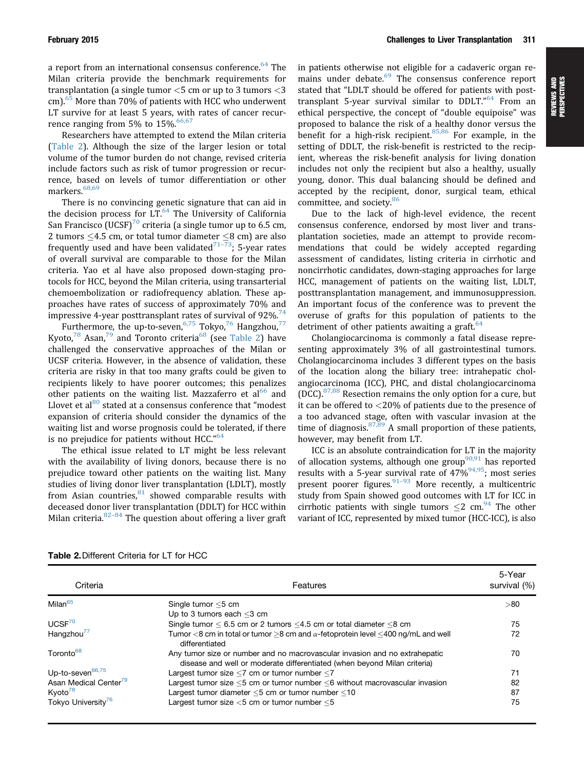a report from an international consensus conference.<sup>64</sup> The Milan criteria provide the benchmark requirements for transplantation (a single tumor  $<$  5 cm or up to 3 tumors  $<$  3 cm).<sup>[65](#page-12-0)</sup> More than 70% of patients with HCC who underwent LT survive for at least 5 years, with rates of cancer recurrence ranging from 5% to  $15\%$  <sup>[66,67](#page-12-0)</sup>

Researchers have attempted to extend the Milan criteria (Table 2). Although the size of the larger lesion or total volume of the tumor burden do not change, revised criteria include factors such as risk of tumor progression or recurrence, based on levels of tumor differentiation or other markers.<sup>[68,69](#page-12-0)</sup>

There is no convincing genetic signature that can aid in the decision process for  $LT<sup>64</sup>$  $LT<sup>64</sup>$  $LT<sup>64</sup>$ . The University of California San Francisco (UCSF)<sup>[70](#page-12-0)</sup> criteria (a single tumor up to 6.5 cm, 2 tumors  $\leq$ 4.5 cm, or total tumor diameter  $\leq$ 8 cm) are also frequently used and have been validated $71-73$  $71-73$ ; 5-year rates of overall survival are comparable to those for the Milan criteria. Yao et al have also proposed down-staging protocols for HCC, beyond the Milan criteria, using transarterial chemoembolization or radiofrequency ablation. These approaches have rates of success of approximately 70% and impressive 4-year posttransplant rates of survival of 92%.<sup>[74](#page-13-0)</sup>

Furthermore, the up-to-seven,  $6.75$  Tokyo,  $76$  Hangzhou,  $77$ Kyoto,<sup>[78](#page-13-0)</sup> Asan,<sup>[79](#page-13-0)</sup> and Toronto criteria<sup>68</sup> (see Table 2) have challenged the conservative approaches of the Milan or UCSF criteria. However, in the absence of validation, these criteria are risky in that too many grafts could be given to recipients likely to have poorer outcomes; this penalizes other patients on the waiting list. Mazzaferro et  $al<sup>66</sup>$  $al<sup>66</sup>$  $al<sup>66</sup>$  and Llovet et al $^{80}$  $^{80}$  $^{80}$  stated at a consensus conference that "modest" expansion of criteria should consider the dynamics of the waiting list and worse prognosis could be tolerated, if there is no prejudice for patients without HCC."<sup>[64](#page-12-0)</sup>

The ethical issue related to LT might be less relevant with the availability of living donors, because there is no prejudice toward other patients on the waiting list. Many studies of living donor liver transplantation (LDLT), mostly from Asian countries, $81$  showed comparable results with deceased donor liver transplantation (DDLT) for HCC within Milan criteria. $82-84$  $82-84$  $82-84$  The question about offering a liver graft in patients otherwise not eligible for a cadaveric organ re-mains under debate.<sup>[69](#page-12-0)</sup> The consensus conference report stated that "LDLT should be offered for patients with post-transplant 5-year survival similar to DDLT."<sup>[64](#page-12-0)</sup> From an ethical perspective, the concept of "double equipoise" was proposed to balance the risk of a healthy donor versus the benefit for a high-risk recipient.  $85,86$  For example, in the setting of DDLT, the risk-benefit is restricted to the recipient, whereas the risk-benefit analysis for living donation includes not only the recipient but also a healthy, usually young, donor. This dual balancing should be defined and accepted by the recipient, donor, surgical team, ethical committee, and society.<sup>[86](#page-13-0)</sup>

Due to the lack of high-level evidence, the recent consensus conference, endorsed by most liver and transplantation societies, made an attempt to provide recommendations that could be widely accepted regarding assessment of candidates, listing criteria in cirrhotic and noncirrhotic candidates, down-staging approaches for large HCC, management of patients on the waiting list, LDLT, posttransplantation management, and immunosuppression. An important focus of the conference was to prevent the overuse of grafts for this population of patients to the detriment of other patients awaiting a graft. $64$ 

Cholangiocarcinoma is commonly a fatal disease representing approximately 3% of all gastrointestinal tumors. Cholangiocarcinoma includes 3 different types on the basis of the location along the biliary tree: intrahepatic cholangiocarcinoma (ICC), PHC, and distal cholangiocarcinoma (DCC).<sup>[87,88](#page-13-0)</sup> Resection remains the only option for a cure, but it can be offered to <20% of patients due to the presence of a too advanced stage, often with vascular invasion at the time of diagnosis.  $87,89$  A small proportion of these patients, however, may benefit from LT.

ICC is an absolute contraindication for LT in the majority of allocation systems, although one group<sup>90,91</sup> has reported results with a 5-year survival rate of  $47\%^{94,95}$ ; most series present poorer figures.  $91-93$  $91-93$  $91-93$  More recently, a multicentric study from Spain showed good outcomes with LT for ICC in cirrhotic patients with single tumors  $\leq$  cm.<sup>[94](#page-13-0)</sup> The other variant of ICC, represented by mixed tumor (HCC-ICC), is also

| Criteria                          | Features                                                                                                                                               | 5-Year<br>survival $(\%)$ |
|-----------------------------------|--------------------------------------------------------------------------------------------------------------------------------------------------------|---------------------------|
| Milan <sup>65</sup>               | Single tumor $<$ 5 cm<br>Up to 3 tumors each $<$ 3 cm                                                                                                  | > 80                      |
| UCSF <sup>70</sup>                | Single tumor $< 6.5$ cm or 2 tumors $< 4.5$ cm or total diameter $< 8$ cm                                                                              | 75                        |
| Hangzhou <sup>77</sup>            | Tumor $<$ 8 cm in total or tumor >8 cm and $\alpha$ -fetoprotein level $<$ 400 ng/mL and well<br>differentiated                                        | 72                        |
| Toronto <sup>68</sup>             | Any tumor size or number and no macrovascular invasion and no extrahepatic<br>disease and well or moderate differentiated (when beyond Milan criteria) | 70                        |
| Up-to-seven <sup>66,75</sup>      | Largest tumor size $<$ 7 cm or tumor number $<$ 7                                                                                                      | 71                        |
| Asan Medical Center <sup>79</sup> | Largest tumor size <5 cm or tumor number <6 without macrovascular invasion                                                                             | 82                        |
| Kyoto <sup>78</sup>               | Largest tumor diameter <5 cm or tumor number <10                                                                                                       | 87                        |
| Tokyo University <sup>76</sup>    | Largest tumor size $<$ 5 cm or tumor number $<$ 5                                                                                                      | 75                        |

| <b>Table 2. Different Criteria for LT for HCC</b> |  |  |  |
|---------------------------------------------------|--|--|--|
|---------------------------------------------------|--|--|--|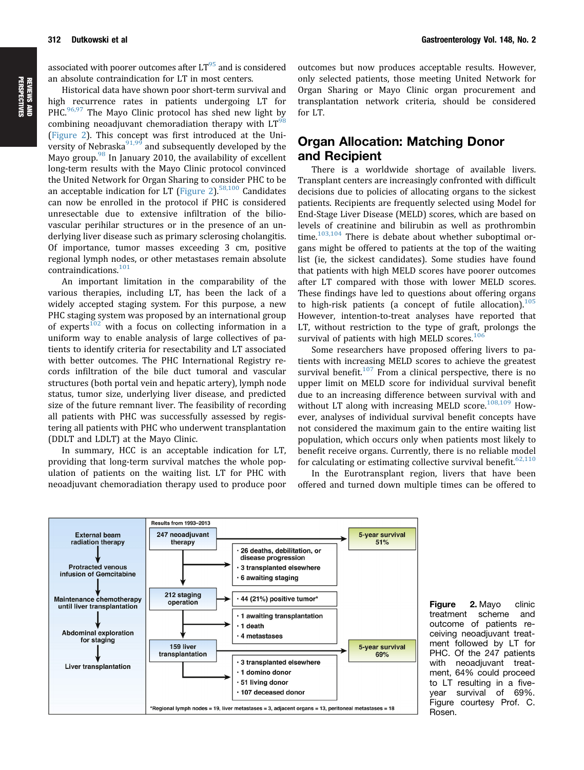associated with poorer outcomes after  $LT^{95}$  and is considered an absolute contraindication for LT in most centers.

Historical data have shown poor short-term survival and high recurrence rates in patients undergoing LT for PHC.<sup>[96,97](#page-13-0)</sup> The Mayo Clinic protocol has shed new light by combining neoadjuvant chemoradiation therapy with  $LT<sup>6</sup>$ (Figure 2). This concept was first introduced at the University of Nebraska $91,99$  and subsequently developed by the Mayo group.<sup>[98](#page-13-0)</sup> In January 2010, the availability of excellent long-term results with the Mayo Clinic protocol convinced the United Network for Organ Sharing to consider PHC to be an acceptable indication for LT (Figure 2). $58,100$  Candidates can now be enrolled in the protocol if PHC is considered unresectable due to extensive infiltration of the biliovascular perihilar structures or in the presence of an underlying liver disease such as primary sclerosing cholangitis. Of importance, tumor masses exceeding 3 cm, positive regional lymph nodes, or other metastases remain absolute contraindications.[101](#page-13-0)

An important limitation in the comparability of the various therapies, including LT, has been the lack of a widely accepted staging system. For this purpose, a new PHC staging system was proposed by an international group of experts<sup>[102](#page-13-0)</sup> with a focus on collecting information in a uniform way to enable analysis of large collectives of patients to identify criteria for resectability and LT associated with better outcomes. The PHC International Registry records infiltration of the bile duct tumoral and vascular structures (both portal vein and hepatic artery), lymph node status, tumor size, underlying liver disease, and predicted size of the future remnant liver. The feasibility of recording all patients with PHC was successfully assessed by registering all patients with PHC who underwent transplantation (DDLT and LDLT) at the Mayo Clinic.

In summary, HCC is an acceptable indication for LT, providing that long-term survival matches the whole population of patients on the waiting list. LT for PHC with neoadjuvant chemoradiation therapy used to produce poor outcomes but now produces acceptable results. However, only selected patients, those meeting United Network for Organ Sharing or Mayo Clinic organ procurement and transplantation network criteria, should be considered for LT.

# Organ Allocation: Matching Donor and Recipient

There is a worldwide shortage of available livers. Transplant centers are increasingly confronted with difficult decisions due to policies of allocating organs to the sickest patients. Recipients are frequently selected using Model for End-Stage Liver Disease (MELD) scores, which are based on levels of creatinine and bilirubin as well as prothrombin time. $103,104$  There is debate about whether suboptimal organs might be offered to patients at the top of the waiting list (ie, the sickest candidates). Some studies have found that patients with high MELD scores have poorer outcomes after LT compared with those with lower MELD scores. These findings have led to questions about offering organs to high-risk patients (a concept of futile allocation). $105$ However, intention-to-treat analyses have reported that LT, without restriction to the type of graft, prolongs the survival of patients with high MELD scores.<sup>1</sup>

Some researchers have proposed offering livers to patients with increasing MELD scores to achieve the greatest survival benefit.<sup>[107](#page-14-0)</sup> From a clinical perspective, there is no upper limit on MELD score for individual survival benefit due to an increasing difference between survival with and without LT along with increasing MELD score. $108,109$  However, analyses of individual survival benefit concepts have not considered the maximum gain to the entire waiting list population, which occurs only when patients most likely to benefit receive organs. Currently, there is no reliable model for calculating or estimating collective survival benefit.<sup>62,110</sup>

In the Eurotransplant region, livers that have been offered and turned down multiple times can be offered to



Figure 2. Mayo clinic treatment scheme and outcome of patients receiving neoadjuvant treatment followed by LT for PHC. Of the 247 patients with neoadjuvant treatment, 64% could proceed to LT resulting in a fiveyear survival of 69%. Figure courtesy Prof. C. Rosen.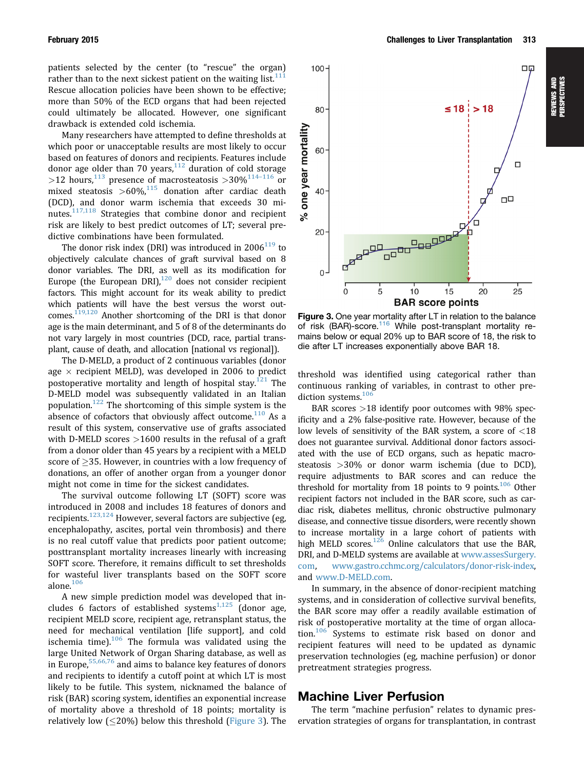patients selected by the center (to "rescue" the organ) rather than to the next sickest patient on the waiting list. $11$ Rescue allocation policies have been shown to be effective; more than 50% of the ECD organs that had been rejected could ultimately be allocated. However, one significant drawback is extended cold ischemia.

Many researchers have attempted to define thresholds at which poor or unacceptable results are most likely to occur based on features of donors and recipients. Features include donor age older than 70 years, $112$  duration of cold storage >12 hours,<sup>[113](#page-14-0)</sup> presence of macrosteatosis >30%<sup>[114](#page-14-0)-[116](#page-14-0)</sup> or mixed steatosis  $>60\%$ ,<sup>[115](#page-14-0)</sup> donation after cardiac death (DCD), and donor warm ischemia that exceeds 30 minutes. $117,118$  Strategies that combine donor and recipient risk are likely to best predict outcomes of LT; several predictive combinations have been formulated.

The donor risk index (DRI) was introduced in  $2006^{119}$  $2006^{119}$  $2006^{119}$  to objectively calculate chances of graft survival based on 8 donor variables. The DRI, as well as its modification for Europe (the European DRI), $120$  does not consider recipient factors. This might account for its weak ability to predict which patients will have the best versus the worst outcomes.<sup>119,120</sup> Another shortcoming of the DRI is that donor age is the main determinant, and 5 of 8 of the determinants do not vary largely in most countries (DCD, race, partial transplant, cause of death, and allocation [national vs regional]).

The D-MELD, a product of 2 continuous variables (donor age  $\times$  recipient MELD), was developed in 2006 to predict postoperative mortality and length of hospital stay.<sup>[121](#page-14-0)</sup> The D-MELD model was subsequently validated in an Italian population.<sup>[122](#page-14-0)</sup> The shortcoming of this simple system is the absence of cofactors that obviously affect outcome. $110$  As a result of this system, conservative use of grafts associated with D-MELD scores >1600 results in the refusal of a graft from a donor older than 45 years by a recipient with a MELD score of  $>$ 35. However, in countries with a low frequency of donations, an offer of another organ from a younger donor might not come in time for the sickest candidates.

The survival outcome following LT (SOFT) score was introduced in 2008 and includes 18 features of donors and recipients.[123,124](#page-14-0) However, several factors are subjective (eg, encephalopathy, ascites, portal vein thrombosis) and there is no real cutoff value that predicts poor patient outcome; posttransplant mortality increases linearly with increasing SOFT score. Therefore, it remains difficult to set thresholds for wasteful liver transplants based on the SOFT score alone. $106$ 

A new simple prediction model was developed that includes 6 factors of established systems $1,125$  (donor age, recipient MELD score, recipient age, retransplant status, the need for mechanical ventilation [life support], and cold ischemia time). $106$  The formula was validated using the large United Network of Organ Sharing database, as well as in Europe.<sup>[55,66,76](#page-12-0)</sup> and aims to balance key features of donors and recipients to identify a cutoff point at which LT is most likely to be futile. This system, nicknamed the balance of risk (BAR) scoring system, identifies an exponential increase of mortality above a threshold of 18 points; mortality is relatively low ( $\leq$ 20%) below this threshold (Figure 3). The



Figure 3. One year mortality after LT in relation to the balance of risk (BAR)-score.<sup>[116](#page-14-0)</sup> While post-transplant mortality remains below or equal 20% up to BAR score of 18, the risk to die after LT increases exponentially above BAR 18.

threshold was identified using categorical rather than continuous ranking of variables, in contrast to other pre-diction systems.<sup>[106](#page-14-0)</sup>

BAR scores >18 identify poor outcomes with 98% specificity and a 2% false-positive rate. However, because of the low levels of sensitivity of the BAR system, a score of <18 does not guarantee survival. Additional donor factors associated with the use of ECD organs, such as hepatic macrosteatosis >30% or donor warm ischemia (due to DCD), require adjustments to BAR scores and can reduce the threshold for mortality from 18 points to 9 points.<sup>106</sup> Other recipient factors not included in the BAR score, such as cardiac risk, diabetes mellitus, chronic obstructive pulmonary disease, and connective tissue disorders, were recently shown to increase mortality in a large cohort of patients with high MELD scores. $126$  Online calculators that use the BAR, DRI, and D-MELD systems are available at [www.assesSurgery.](http://www.assesSurgery.com) [com,](http://www.assesSurgery.com) [www.gastro.cchmc.org/calculators/donor-risk-index](http://www.gastro.cchmc.org/calculators/donor-risk-index), and [www.D-MELD.com](http://www.D-MELD.com).

In summary, in the absence of donor-recipient matching systems, and in consideration of collective survival benefits, the BAR score may offer a readily available estimation of risk of postoperative mortality at the time of organ alloca-tion.<sup>[106](#page-14-0)</sup> Systems to estimate risk based on donor and recipient features will need to be updated as dynamic preservation technologies (eg, machine perfusion) or donor pretreatment strategies progress.

## Machine Liver Perfusion

The term "machine perfusion" relates to dynamic preservation strategies of organs for transplantation, in contrast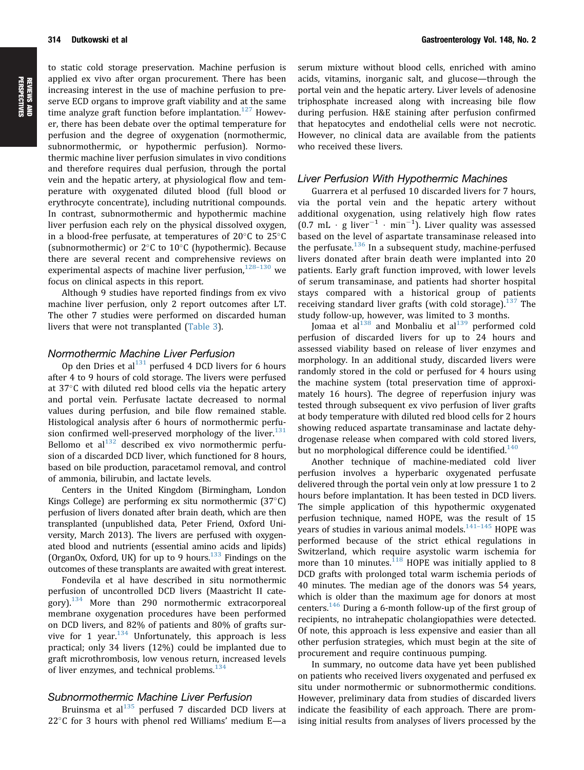to static cold storage preservation. Machine perfusion is applied ex vivo after organ procurement. There has been increasing interest in the use of machine perfusion to preserve ECD organs to improve graft viability and at the same time analyze graft function before implantation.<sup>[127](#page-14-0)</sup> However, there has been debate over the optimal temperature for perfusion and the degree of oxygenation (normothermic, subnormothermic, or hypothermic perfusion). Normothermic machine liver perfusion simulates in vivo conditions and therefore requires dual perfusion, through the portal vein and the hepatic artery, at physiological flow and temperature with oxygenated diluted blood (full blood or erythrocyte concentrate), including nutritional compounds. In contrast, subnormothermic and hypothermic machine liver perfusion each rely on the physical dissolved oxygen, in a blood-free perfusate, at temperatures of  $20^{\circ}$ C to  $25^{\circ}$ C (subnormothermic) or  $2^{\circ}$ C to  $10^{\circ}$ C (hypothermic). Because there are several recent and comprehensive reviews on experimental aspects of machine liver perfusion, $128-130$  $128-130$  $128-130$  we focus on clinical aspects in this report.

Although 9 studies have reported findings from ex vivo machine liver perfusion, only 2 report outcomes after LT. The other 7 studies were performed on discarded human livers that were not transplanted [\(Table 3\)](#page-8-0).

### Normothermic Machine Liver Perfusion

Op den Dries et al $^{131}$  perfused 4 DCD livers for 6 hours after 4 to 9 hours of cold storage. The livers were perfused at  $37^{\circ}$ C with diluted red blood cells via the hepatic artery and portal vein. Perfusate lactate decreased to normal values during perfusion, and bile flow remained stable. Histological analysis after 6 hours of normothermic perfu-sion confirmed well-preserved morphology of the liver.<sup>[131](#page-14-0)</sup> Bellomo et  $al^{132}$  $al^{132}$  $al^{132}$  described ex vivo normothermic perfusion of a discarded DCD liver, which functioned for 8 hours, based on bile production, paracetamol removal, and control of ammonia, bilirubin, and lactate levels.

Centers in the United Kingdom (Birmingham, London Kings College) are performing ex situ normothermic  $(37^{\circ}C)$ perfusion of livers donated after brain death, which are then transplanted (unpublished data, Peter Friend, Oxford University, March 2013). The livers are perfused with oxygenated blood and nutrients (essential amino acids and lipids) (OrganOx, Oxford, UK) for up to 9 hours.<sup>[133](#page-14-0)</sup> Findings on the outcomes of these transplants are awaited with great interest.

Fondevila et al have described in situ normothermic perfusion of uncontrolled DCD livers (Maastricht II category). $134$  More than 290 normothermic extracorporeal membrane oxygenation procedures have been performed on DCD livers, and 82% of patients and 80% of grafts survive for 1 year. $134}$  $134}$  Unfortunately, this approach is less practical; only 34 livers (12%) could be implanted due to graft microthrombosis, low venous return, increased levels of liver enzymes, and technical problems.<sup>[134](#page-14-0)</sup>

### Subnormothermic Machine Liver Perfusion

Bruinsma et al $^{135}$  $^{135}$  $^{135}$  perfused 7 discarded DCD livers at  $22^{\circ}$ C for 3 hours with phenol red Williams' medium E-a

serum mixture without blood cells, enriched with amino acids, vitamins, inorganic salt, and glucose—through the portal vein and the hepatic artery. Liver levels of adenosine triphosphate increased along with increasing bile flow during perfusion. H&E staining after perfusion confirmed that hepatocytes and endothelial cells were not necrotic. However, no clinical data are available from the patients who received these livers.

### Liver Perfusion With Hypothermic Machines

Guarrera et al perfused 10 discarded livers for 7 hours, via the portal vein and the hepatic artery without additional oxygenation, using relatively high flow rates  $(0.7 \text{ mL} \cdot \text{g liver}^{-1} \cdot \text{min}^{-1})$ . Liver quality was assessed based on the level of aspartate transaminase released into the perfusate.<sup>[136](#page-14-0)</sup> In a subsequent study, machine-perfused livers donated after brain death were implanted into 20 patients. Early graft function improved, with lower levels of serum transaminase, and patients had shorter hospital stays compared with a historical group of patients receiving standard liver grafts (with cold storage).<sup>137</sup> The study follow-up, however, was limited to 3 months.

Jomaa et al $^{138}$  $^{138}$  $^{138}$  and Monbaliu et al $^{139}$  $^{139}$  $^{139}$  performed cold perfusion of discarded livers for up to 24 hours and assessed viability based on release of liver enzymes and morphology. In an additional study, discarded livers were randomly stored in the cold or perfused for 4 hours using the machine system (total preservation time of approximately 16 hours). The degree of reperfusion injury was tested through subsequent ex vivo perfusion of liver grafts at body temperature with diluted red blood cells for 2 hours showing reduced aspartate transaminase and lactate dehydrogenase release when compared with cold stored livers, but no morphological difference could be identified.<sup>[140](#page-14-0)</sup>

Another technique of machine-mediated cold liver perfusion involves a hyperbaric oxygenated perfusate delivered through the portal vein only at low pressure 1 to 2 hours before implantation. It has been tested in DCD livers. The simple application of this hypothermic oxygenated perfusion technique, named HOPE, was the result of 15 years of studies in various animal models. $141-145$  $141-145$  $141-145$  HOPE was performed because of the strict ethical regulations in Switzerland, which require asystolic warm ischemia for more than 10 minutes. $118$  HOPE was initially applied to 8 DCD grafts with prolonged total warm ischemia periods of 40 minutes. The median age of the donors was 54 years, which is older than the maximum age for donors at most centers.<sup>[146](#page-15-0)</sup> During a 6-month follow-up of the first group of recipients, no intrahepatic cholangiopathies were detected. Of note, this approach is less expensive and easier than all other perfusion strategies, which must begin at the site of procurement and require continuous pumping.

In summary, no outcome data have yet been published on patients who received livers oxygenated and perfused ex situ under normothermic or subnormothermic conditions. However, preliminary data from studies of discarded livers indicate the feasibility of each approach. There are promising initial results from analyses of livers processed by the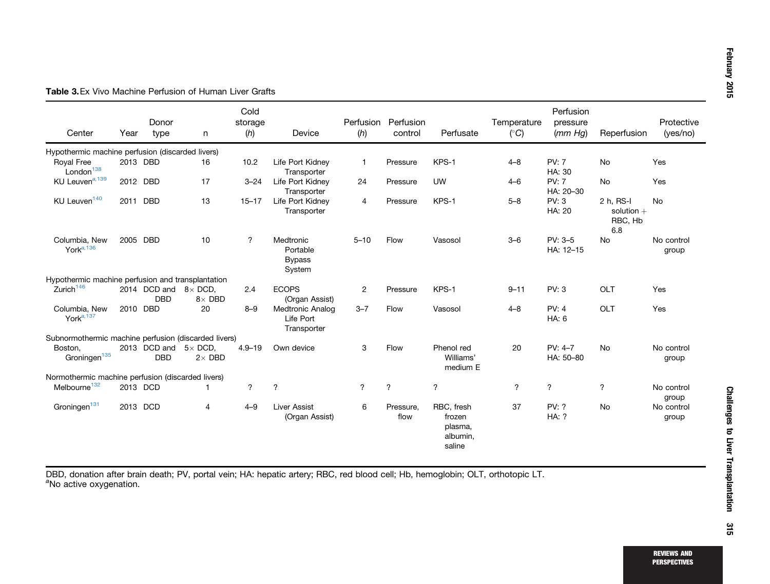| Center                                               | Year     | Donor<br>type              | n                               | Cold<br>storage<br>(h)   | Device                                              | (h)            | Perfusion Perfusion<br>control | Perfusate                                             | Temperature<br>$(^\circ C)$ | Perfusion<br>pressure<br>(mm Hq) | Reperfusion                                 | Protective<br>(yes/no) |
|------------------------------------------------------|----------|----------------------------|---------------------------------|--------------------------|-----------------------------------------------------|----------------|--------------------------------|-------------------------------------------------------|-----------------------------|----------------------------------|---------------------------------------------|------------------------|
| Hypothermic machine perfusion (discarded livers)     |          |                            |                                 |                          |                                                     |                |                                |                                                       |                             |                                  |                                             |                        |
| Royal Free<br>London <sup>138</sup>                  |          | 2013 DBD                   | 16                              | 10.2                     | Life Port Kidney<br>Transporter                     | $\mathbf{1}$   | Pressure                       | KPS-1                                                 | $4 - 8$                     | <b>PV: 7</b><br>HA: 30           | <b>No</b>                                   | Yes                    |
| KU Leuven <sup>a, 139</sup>                          | 2012 DBD |                            | 17                              | $3 - 24$                 | Life Port Kidney<br>Transporter                     | 24             | Pressure                       | <b>UW</b>                                             | $4 - 6$                     | <b>PV: 7</b><br>HA: 20-30        | <b>No</b>                                   | Yes                    |
| KU Leuven <sup>140</sup>                             | 2011 DBD |                            | 13                              | $15 - 17$                | Life Port Kidney<br>Transporter                     | $\overline{4}$ | Pressure                       | KPS-1                                                 | $5 - 8$                     | PV: 3<br>HA: 20                  | 2 h. RS-I<br>solution $+$<br>RBC, Hb<br>6.8 | <b>No</b>              |
| Columbia, New<br>York $a$ , 136                      | 2005 DBD |                            | 10                              | $\overline{\mathcal{L}}$ | Medtronic<br>Portable<br><b>Bypass</b><br>System    | $5 - 10$       | Flow                           | Vasosol                                               | $3 - 6$                     | PV: 3-5<br>HA: 12-15             | No                                          | No control<br>group    |
| Hypothermic machine perfusion and transplantation    |          |                            |                                 |                          |                                                     |                |                                |                                                       |                             |                                  |                                             |                        |
| Zurich <sup>146</sup>                                |          | 2014 DCD and<br><b>DBD</b> | $8\times$ DCD.<br>$8\times$ DBD | 2.4                      | <b>ECOPS</b><br>(Organ Assist)                      | $\overline{2}$ | Pressure                       | KPS-1                                                 | $9 - 11$                    | PV: 3                            | OLT                                         | Yes                    |
| Columbia, New<br>York <sup>a, 137</sup>              | 2010 DBD |                            | 20                              | $8 - 9$                  | <b>Medtronic Analog</b><br>Life Port<br>Transporter | $3 - 7$        | Flow                           | Vasosol                                               | $4 - 8$                     | PV: 4<br>HA: 6                   | OLT                                         | Yes                    |
| Subnormothermic machine perfusion (discarded livers) |          |                            |                                 |                          |                                                     |                |                                |                                                       |                             |                                  |                                             |                        |
| Boston.<br>Groningen <sup>135</sup>                  |          | 2013 DCD and<br><b>DBD</b> | $5\times$ DCD.<br>$2\times$ DBD | $4.9 - 19$               | Own device                                          | 3              | Flow                           | Phenol red<br>Williams'<br>medium E                   | 20                          | PV: 4-7<br>HA: 50-80             | No                                          | No control<br>group    |
| Normothermic machine perfusion (discarded livers)    |          |                            |                                 |                          |                                                     |                |                                |                                                       |                             |                                  |                                             |                        |
| Melbourne <sup>132</sup>                             | 2013 DCD |                            |                                 | $\gamma$                 | $\gamma$                                            | $\gamma$       | $\gamma$                       | $\gamma$                                              | $\overline{\phantom{a}}$    | $\gamma$                         | $\overline{\mathcal{L}}$                    | No control<br>group    |
| Groningen <sup>131</sup>                             | 2013 DCD |                            | $\overline{4}$                  | $4 - 9$                  | Liver Assist<br>(Organ Assist)                      | 6              | Pressure,<br>flow              | RBC, fresh<br>frozen<br>plasma,<br>albumin,<br>saline | 37                          | PV: ?<br><b>HA: ?</b>            | <b>No</b>                                   | No control<br>group    |

<span id="page-8-0"></span>Table 3.Ex Vivo Machine Perfusion of Human Liver Grafts

DBD, donation after brain death; PV, portal vein; HA: hepatic artery; RBC, red blood cell; Hb, hemoglobin; OLT, orthotopic LT. <sup>a</sup>No active oxygenation.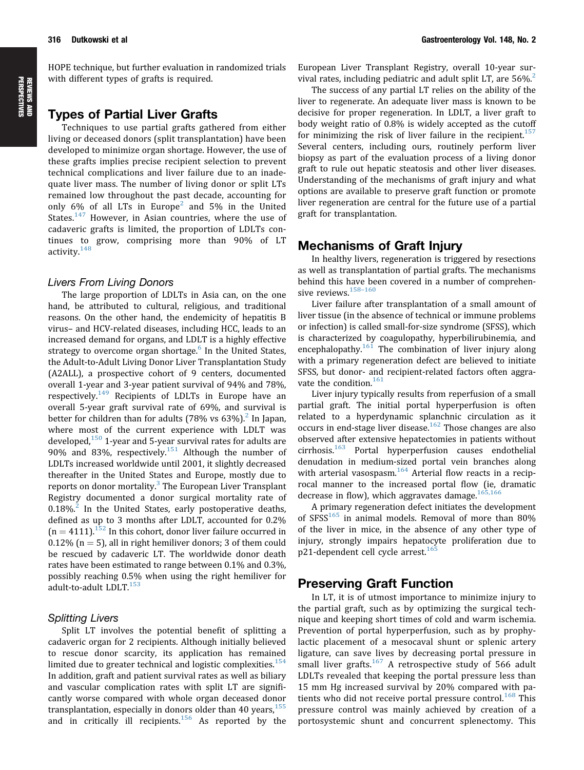# with different types of grafts is required.

HOPE technique, but further evaluation in randomized trials

# Types of Partial Liver Grafts

Techniques to use partial grafts gathered from either living or deceased donors (split transplantation) have been developed to minimize organ shortage. However, the use of these grafts implies precise recipient selection to prevent technical complications and liver failure due to an inadequate liver mass. The number of living donor or split LTs remained low throughout the past decade, accounting for only 6% of all LTs in Europe<sup>[2](#page-10-0)</sup> and 5% in the United States.<sup>[147](#page-15-0)</sup> However, in Asian countries, where the use of cadaveric grafts is limited, the proportion of LDLTs continues to grow, comprising more than 90% of LT activity<sup>[148](#page-15-0)</sup>

### Livers From Living Donors

The large proportion of LDLTs in Asia can, on the one hand, be attributed to cultural, religious, and traditional reasons. On the other hand, the endemicity of hepatitis B virus– and HCV-related diseases, including HCC, leads to an increased demand for organs, and LDLT is a highly effective strategy to overcome organ shortage.<sup>[6](#page-11-0)</sup> In the United States, the Adult-to-Adult Living Donor Liver Transplantation Study (A2ALL), a prospective cohort of 9 centers, documented overall 1-year and 3-year patient survival of 94% and 78%, respectively.<sup>[149](#page-15-0)</sup> Recipients of LDLTs in Europe have an overall 5-year graft survival rate of 69%, and survival is better for children than for adults  $(78\% \text{ vs } 63\%)$ <sup>2</sup> In Japan, where most of the current experience with LDLT was developed. $150$  1-year and 5-year survival rates for adults are 90% and 83%, respectively. $151$  Although the number of LDLTs increased worldwide until 2001, it slightly decreased thereafter in the United States and Europe, mostly due to reports on donor mortality. $3$  The European Liver Transplant Registry documented a donor surgical mortality rate of  $0.18\%$ <sup>[2](#page-10-0)</sup> In the United States, early postoperative deaths, defined as up to 3 months after LDLT, accounted for 0.2%  $(n = 4111).$ <sup>[152](#page-15-0)</sup> In this cohort, donor liver failure occurred in  $0.12\%$  (n = 5), all in right hemiliver donors; 3 of them could be rescued by cadaveric LT. The worldwide donor death rates have been estimated to range between 0.1% and 0.3%, possibly reaching 0.5% when using the right hemiliver for adult-to-adult LDLT.<sup>[153](#page-15-0)</sup>

### Splitting Livers

Split LT involves the potential benefit of splitting a cadaveric organ for 2 recipients. Although initially believed to rescue donor scarcity, its application has remained limited due to greater technical and logistic complexities. $154$ In addition, graft and patient survival rates as well as biliary and vascular complication rates with split LT are significantly worse compared with whole organ deceased donor transplantation, especially in donors older than 40 years,  $155$ and in critically ill recipients.<sup>[156](#page-15-0)</sup> As reported by the European Liver Transplant Registry, overall 10-year survival rates, including pediatric and adult split LT, are  $56\%$ <sup>[2](#page-10-0)</sup>

The success of any partial LT relies on the ability of the liver to regenerate. An adequate liver mass is known to be decisive for proper regeneration. In LDLT, a liver graft to body weight ratio of 0.8% is widely accepted as the cutoff for minimizing the risk of liver failure in the recipient.<sup>[157](#page-15-0)</sup> Several centers, including ours, routinely perform liver biopsy as part of the evaluation process of a living donor graft to rule out hepatic steatosis and other liver diseases. Understanding of the mechanisms of graft injury and what options are available to preserve graft function or promote liver regeneration are central for the future use of a partial graft for transplantation.

## Mechanisms of Graft Injury

In healthy livers, regeneration is triggered by resections as well as transplantation of partial grafts. The mechanisms behind this have been covered in a number of comprehen-sive reviews.<sup>[158](#page-15-0)-[160](#page-15-0)</sup>

Liver failure after transplantation of a small amount of liver tissue (in the absence of technical or immune problems or infection) is called small-for-size syndrome (SFSS), which is characterized by coagulopathy, hyperbilirubinemia, and encephalopathy.<sup>[161](#page-15-0)</sup> The combination of liver injury along with a primary regeneration defect are believed to initiate SFSS, but donor- and recipient-related factors often aggravate the condition. $161$ 

Liver injury typically results from reperfusion of a small partial graft. The initial portal hyperperfusion is often related to a hyperdynamic splanchnic circulation as it occurs in end-stage liver disease.<sup>[162](#page-15-0)</sup> Those changes are also observed after extensive hepatectomies in patients without  $circhosis.<sup>163</sup>$  $circhosis.<sup>163</sup>$  $circhosis.<sup>163</sup>$  Portal hyperperfusion causes endothelial denudation in medium-sized portal vein branches along with arterial vasospasm.<sup>[164](#page-15-0)</sup> Arterial flow reacts in a reciprocal manner to the increased portal flow (ie, dramatic decrease in flow), which aggravates damage.  $165,166$ 

A primary regeneration defect initiates the development of SFSS $165$  in animal models. Removal of more than 80% of the liver in mice, in the absence of any other type of injury, strongly impairs hepatocyte proliferation due to p21-dependent cell cycle arrest.<sup>[165](#page-15-0)</sup>

# Preserving Graft Function

In LT, it is of utmost importance to minimize injury to the partial graft, such as by optimizing the surgical technique and keeping short times of cold and warm ischemia. Prevention of portal hyperperfusion, such as by prophylactic placement of a mesocaval shunt or splenic artery ligature, can save lives by decreasing portal pressure in small liver grafts. $167$  A retrospective study of 566 adult LDLTs revealed that keeping the portal pressure less than 15 mm Hg increased survival by 20% compared with pa-tients who did not receive portal pressure control.<sup>[168](#page-15-0)</sup> This pressure control was mainly achieved by creation of a portosystemic shunt and concurrent splenectomy. This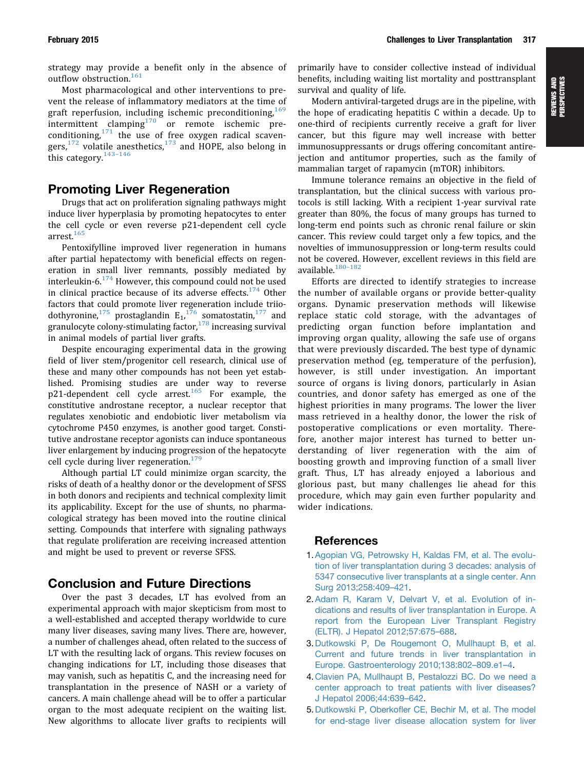<span id="page-10-0"></span>strategy may provide a benefit only in the absence of outflow obstruction.<sup>[161](#page-15-0)</sup>

Most pharmacological and other interventions to prevent the release of inflammatory mediators at the time of graft reperfusion, including ischemic preconditioning,  $169$ intermittent clamping $170$  or remote ischemic preconditioning, $171$  the use of free oxygen radical scavengers, $172$  volatile anesthetics, $173$  and HOPE, also belong in this category. $143-146$  $143-146$  $143-146$ 

# Promoting Liver Regeneration

Drugs that act on proliferation signaling pathways might induce liver hyperplasia by promoting hepatocytes to enter the cell cycle or even reverse p21-dependent cell cycle arrest.<sup>[165](#page-15-0)</sup>

Pentoxifylline improved liver regeneration in humans after partial hepatectomy with beneficial effects on regeneration in small liver remnants, possibly mediated by interleukin-6.[174](#page-16-0) However, this compound could not be used in clinical practice because of its adverse effects.<sup>[174](#page-16-0)</sup> Other factors that could promote liver regeneration include triio-dothyronine,<sup>[175](#page-16-0)</sup> prostaglandin  $E_1$ ,<sup>[176](#page-16-0)</sup> somatostatin,<sup>[177](#page-16-0)</sup> and granulocyte colony-stimulating factor, $178$  increasing survival in animal models of partial liver grafts.

Despite encouraging experimental data in the growing field of liver stem/progenitor cell research, clinical use of these and many other compounds has not been yet established. Promising studies are under way to reverse p21-dependent cell cycle arrest.<sup>[165](#page-15-0)</sup> For example, the constitutive androstane receptor, a nuclear receptor that regulates xenobiotic and endobiotic liver metabolism via cytochrome P450 enzymes, is another good target. Constitutive androstane receptor agonists can induce spontaneous liver enlargement by inducing progression of the hepatocyte cell cycle during liver regeneration.<sup>[179](#page-16-0)</sup>

Although partial LT could minimize organ scarcity, the risks of death of a healthy donor or the development of SFSS in both donors and recipients and technical complexity limit its applicability. Except for the use of shunts, no pharmacological strategy has been moved into the routine clinical setting. Compounds that interfere with signaling pathways that regulate proliferation are receiving increased attention and might be used to prevent or reverse SFSS.

# Conclusion and Future Directions

Over the past 3 decades, LT has evolved from an experimental approach with major skepticism from most to a well-established and accepted therapy worldwide to cure many liver diseases, saving many lives. There are, however, a number of challenges ahead, often related to the success of LT with the resulting lack of organs. This review focuses on changing indications for LT, including those diseases that may vanish, such as hepatitis C, and the increasing need for transplantation in the presence of NASH or a variety of cancers. A main challenge ahead will be to offer a particular organ to the most adequate recipient on the waiting list. New algorithms to allocate liver grafts to recipients will primarily have to consider collective instead of individual benefits, including waiting list mortality and posttransplant survival and quality of life.

Modern antiviral-targeted drugs are in the pipeline, with the hope of eradicating hepatitis C within a decade. Up to one-third of recipients currently receive a graft for liver cancer, but this figure may well increase with better immunosuppressants or drugs offering concomitant antirejection and antitumor properties, such as the family of mammalian target of rapamycin (mTOR) inhibitors.

Immune tolerance remains an objective in the field of transplantation, but the clinical success with various protocols is still lacking. With a recipient 1-year survival rate greater than 80%, the focus of many groups has turned to long-term end points such as chronic renal failure or skin cancer. This review could target only a few topics, and the novelties of immunosuppression or long-term results could not be covered. However, excellent reviews in this field are available.[180](#page-16-0)–[182](#page-16-0)

Efforts are directed to identify strategies to increase the number of available organs or provide better-quality organs. Dynamic preservation methods will likewise replace static cold storage, with the advantages of predicting organ function before implantation and improving organ quality, allowing the safe use of organs that were previously discarded. The best type of dynamic preservation method (eg, temperature of the perfusion), however, is still under investigation. An important source of organs is living donors, particularly in Asian countries, and donor safety has emerged as one of the highest priorities in many programs. The lower the liver mass retrieved in a healthy donor, the lower the risk of postoperative complications or even mortality. Therefore, another major interest has turned to better understanding of liver regeneration with the aim of boosting growth and improving function of a small liver graft. Thus, LT has already enjoyed a laborious and glorious past, but many challenges lie ahead for this procedure, which may gain even further popularity and wider indications.

# References

- 1.[Agopian VG, Petrowsky H, Kaldas FM, et al. The evolu](http://refhub.elsevier.com/S0016-5085(14)01088-9/sref1)[tion of liver transplantation during 3 decades: analysis of](http://refhub.elsevier.com/S0016-5085(14)01088-9/sref1) [5347 consecutive liver transplants at a single center. Ann](http://refhub.elsevier.com/S0016-5085(14)01088-9/sref1) [Surg 2013;258:409](http://refhub.elsevier.com/S0016-5085(14)01088-9/sref1)–[421.](http://refhub.elsevier.com/S0016-5085(14)01088-9/sref1)
- 2.[Adam R, Karam V, Delvart V, et al. Evolution of in](http://refhub.elsevier.com/S0016-5085(14)01088-9/sref2)[dications and results of liver transplantation in Europe. A](http://refhub.elsevier.com/S0016-5085(14)01088-9/sref2) [report from the European Liver Transplant Registry](http://refhub.elsevier.com/S0016-5085(14)01088-9/sref2) [\(ELTR\). J Hepatol 2012;57:675](http://refhub.elsevier.com/S0016-5085(14)01088-9/sref2)–[688](http://refhub.elsevier.com/S0016-5085(14)01088-9/sref2).
- 3.[Dutkowski P, De Rougemont O, Mullhaupt B, et al.](http://refhub.elsevier.com/S0016-5085(14)01088-9/sref3) [Current and future trends in liver transplantation in](http://refhub.elsevier.com/S0016-5085(14)01088-9/sref3) [Europe. Gastroenterology 2010;138:802](http://refhub.elsevier.com/S0016-5085(14)01088-9/sref3)–[809.e1](http://refhub.elsevier.com/S0016-5085(14)01088-9/sref3)–[4](http://refhub.elsevier.com/S0016-5085(14)01088-9/sref3).
- 4. [Clavien PA, Mullhaupt B, Pestalozzi BC. Do we need a](http://refhub.elsevier.com/S0016-5085(14)01088-9/sref4) [center approach to treat patients with liver diseases?](http://refhub.elsevier.com/S0016-5085(14)01088-9/sref4) [J Hepatol 2006;44:639](http://refhub.elsevier.com/S0016-5085(14)01088-9/sref4)–[642.](http://refhub.elsevier.com/S0016-5085(14)01088-9/sref4)
- 5.Dutkowski P, Oberkofl[er CE, Bechir M, et al. The model](http://refhub.elsevier.com/S0016-5085(14)01088-9/sref5) [for end-stage liver disease allocation system for liver](http://refhub.elsevier.com/S0016-5085(14)01088-9/sref5)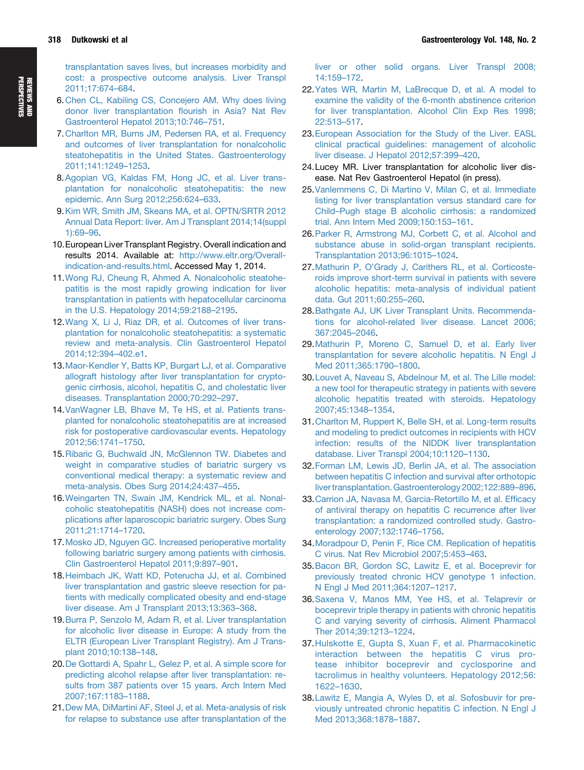<span id="page-11-0"></span>[transplantation saves lives, but increases morbidity and](http://refhub.elsevier.com/S0016-5085(14)01088-9/sref5) [cost: a prospective outcome analysis. Liver Transpl](http://refhub.elsevier.com/S0016-5085(14)01088-9/sref5) [2011;17:674](http://refhub.elsevier.com/S0016-5085(14)01088-9/sref5)–[684](http://refhub.elsevier.com/S0016-5085(14)01088-9/sref5).

- 6. [Chen CL, Kabiling CS, Concejero AM. Why does living](http://refhub.elsevier.com/S0016-5085(14)01088-9/sref6) [donor liver transplantation](http://refhub.elsevier.com/S0016-5085(14)01088-9/sref6) flourish in Asia? Nat Rev [Gastroenterol Hepatol 2013;10:746](http://refhub.elsevier.com/S0016-5085(14)01088-9/sref6)–[751](http://refhub.elsevier.com/S0016-5085(14)01088-9/sref6).
- 7. [Charlton MR, Burns JM, Pedersen RA, et al. Frequency](http://refhub.elsevier.com/S0016-5085(14)01088-9/sref7) [and outcomes of liver transplantation for nonalcoholic](http://refhub.elsevier.com/S0016-5085(14)01088-9/sref7) [steatohepatitis in the United States. Gastroenterology](http://refhub.elsevier.com/S0016-5085(14)01088-9/sref7) [2011;141:1249](http://refhub.elsevier.com/S0016-5085(14)01088-9/sref7)–[1253.](http://refhub.elsevier.com/S0016-5085(14)01088-9/sref7)
- 8.[Agopian VG, Kaldas FM, Hong JC, et al. Liver trans](http://refhub.elsevier.com/S0016-5085(14)01088-9/sref8)[plantation for nonalcoholic steatohepatitis: the new](http://refhub.elsevier.com/S0016-5085(14)01088-9/sref8) [epidemic. Ann Surg 2012;256:624](http://refhub.elsevier.com/S0016-5085(14)01088-9/sref8)–[633](http://refhub.elsevier.com/S0016-5085(14)01088-9/sref8).
- 9.[Kim WR, Smith JM, Skeans MA, et al. OPTN/SRTR 2012](http://refhub.elsevier.com/S0016-5085(14)01088-9/sref9) [Annual Data Report: liver. Am J Transplant 2014;14\(suppl](http://refhub.elsevier.com/S0016-5085(14)01088-9/sref9) [1\):69](http://refhub.elsevier.com/S0016-5085(14)01088-9/sref9)–[96](http://refhub.elsevier.com/S0016-5085(14)01088-9/sref9).
- 10.European Liver Transplant Registry. Overall indication and results 2014. Available at: [http://www.eltr.org/Overall](http://www.eltr.org/Overall-indication-and-results.html)[indication-and-results.html.](http://www.eltr.org/Overall-indication-and-results.html) Accessed May 1, 2014.
- 11.[Wong RJ, Cheung R, Ahmed A. Nonalcoholic steatohe](http://refhub.elsevier.com/S0016-5085(14)01088-9/sref10)[patitis is the most rapidly growing indication for liver](http://refhub.elsevier.com/S0016-5085(14)01088-9/sref10) [transplantation in patients with hepatocellular carcinoma](http://refhub.elsevier.com/S0016-5085(14)01088-9/sref10) [in the U.S. Hepatology 2014;59:2188](http://refhub.elsevier.com/S0016-5085(14)01088-9/sref10)–[2195](http://refhub.elsevier.com/S0016-5085(14)01088-9/sref10).
- 12.[Wang X, Li J, Riaz DR, et al. Outcomes of liver trans](http://refhub.elsevier.com/S0016-5085(14)01088-9/sref11)[plantation for nonalcoholic steatohepatitis: a systematic](http://refhub.elsevier.com/S0016-5085(14)01088-9/sref11) [review and meta-analysis. Clin Gastroenterol Hepatol](http://refhub.elsevier.com/S0016-5085(14)01088-9/sref11) [2014;12:394](http://refhub.elsevier.com/S0016-5085(14)01088-9/sref11)–[402.e1](http://refhub.elsevier.com/S0016-5085(14)01088-9/sref11).
- 13.[Maor-Kendler Y, Batts KP, Burgart LJ, et al. Comparative](http://refhub.elsevier.com/S0016-5085(14)01088-9/sref12) [allograft histology after liver transplantation for crypto](http://refhub.elsevier.com/S0016-5085(14)01088-9/sref12)[genic cirrhosis, alcohol, hepatitis C, and cholestatic liver](http://refhub.elsevier.com/S0016-5085(14)01088-9/sref12) [diseases. Transplantation 2000;70:292](http://refhub.elsevier.com/S0016-5085(14)01088-9/sref12)–[297.](http://refhub.elsevier.com/S0016-5085(14)01088-9/sref12)
- 14.[VanWagner LB, Bhave M, Te HS, et al. Patients trans](http://refhub.elsevier.com/S0016-5085(14)01088-9/sref13)[planted for nonalcoholic steatohepatitis are at increased](http://refhub.elsevier.com/S0016-5085(14)01088-9/sref13) [risk for postoperative cardiovascular events. Hepatology](http://refhub.elsevier.com/S0016-5085(14)01088-9/sref13) [2012;56:1741](http://refhub.elsevier.com/S0016-5085(14)01088-9/sref13)–[1750](http://refhub.elsevier.com/S0016-5085(14)01088-9/sref13).
- 15.[Ribaric G, Buchwald JN, McGlennon TW. Diabetes and](http://refhub.elsevier.com/S0016-5085(14)01088-9/sref14) [weight in comparative studies of bariatric surgery vs](http://refhub.elsevier.com/S0016-5085(14)01088-9/sref14) [conventional medical therapy: a systematic review and](http://refhub.elsevier.com/S0016-5085(14)01088-9/sref14) [meta-analysis. Obes Surg 2014;24:437](http://refhub.elsevier.com/S0016-5085(14)01088-9/sref14)–[455.](http://refhub.elsevier.com/S0016-5085(14)01088-9/sref14)
- 16.[Weingarten TN, Swain JM, Kendrick ML, et al. Nonal](http://refhub.elsevier.com/S0016-5085(14)01088-9/sref15)[coholic steatohepatitis \(NASH\) does not increase com](http://refhub.elsevier.com/S0016-5085(14)01088-9/sref15)[plications after laparoscopic bariatric surgery. Obes Surg](http://refhub.elsevier.com/S0016-5085(14)01088-9/sref15) [2011;21:1714](http://refhub.elsevier.com/S0016-5085(14)01088-9/sref15)–[1720](http://refhub.elsevier.com/S0016-5085(14)01088-9/sref15).
- 17.[Mosko JD, Nguyen GC. Increased perioperative mortality](http://refhub.elsevier.com/S0016-5085(14)01088-9/sref16) [following bariatric surgery among patients with cirrhosis.](http://refhub.elsevier.com/S0016-5085(14)01088-9/sref16) [Clin Gastroenterol Hepatol 2011;9:897](http://refhub.elsevier.com/S0016-5085(14)01088-9/sref16)–[901](http://refhub.elsevier.com/S0016-5085(14)01088-9/sref16).
- 18.[Heimbach JK, Watt KD, Poterucha JJ, et al. Combined](http://refhub.elsevier.com/S0016-5085(14)01088-9/sref17) [liver transplantation and gastric sleeve resection for pa](http://refhub.elsevier.com/S0016-5085(14)01088-9/sref17)[tients with medically complicated obesity and end-stage](http://refhub.elsevier.com/S0016-5085(14)01088-9/sref17) [liver disease. Am J Transplant 2013;13:363](http://refhub.elsevier.com/S0016-5085(14)01088-9/sref17)–[368.](http://refhub.elsevier.com/S0016-5085(14)01088-9/sref17)
- 19.[Burra P, Senzolo M, Adam R, et al. Liver transplantation](http://refhub.elsevier.com/S0016-5085(14)01088-9/sref18) [for alcoholic liver disease in Europe: A study from the](http://refhub.elsevier.com/S0016-5085(14)01088-9/sref18) [ELTR \(European Liver Transplant Registry\). Am J Trans](http://refhub.elsevier.com/S0016-5085(14)01088-9/sref18)[plant 2010;10:138](http://refhub.elsevier.com/S0016-5085(14)01088-9/sref18)–[148.](http://refhub.elsevier.com/S0016-5085(14)01088-9/sref18)
- 20.De [Gottardi A, Spahr L, Gelez P, et al. A simple score for](http://refhub.elsevier.com/S0016-5085(14)01088-9/sref19) [predicting alcohol relapse after liver transplantation: re](http://refhub.elsevier.com/S0016-5085(14)01088-9/sref19)[sults from 387 patients over 15 years. Arch Intern Med](http://refhub.elsevier.com/S0016-5085(14)01088-9/sref19) [2007;167:1183](http://refhub.elsevier.com/S0016-5085(14)01088-9/sref19)–[1188.](http://refhub.elsevier.com/S0016-5085(14)01088-9/sref19)
- 21.[Dew MA, DiMartini AF, Steel J, et al. Meta-analysis of risk](http://refhub.elsevier.com/S0016-5085(14)01088-9/sref20) [for relapse to substance use after transplantation of the](http://refhub.elsevier.com/S0016-5085(14)01088-9/sref20)

[liver or other solid organs. Liver Transpl 2008;](http://refhub.elsevier.com/S0016-5085(14)01088-9/sref20) [14:159](http://refhub.elsevier.com/S0016-5085(14)01088-9/sref20)–[172.](http://refhub.elsevier.com/S0016-5085(14)01088-9/sref20)

- 22.[Yates WR, Martin M, LaBrecque D, et al. A model to](http://refhub.elsevier.com/S0016-5085(14)01088-9/sref21) [examine the validity of the 6-month abstinence criterion](http://refhub.elsevier.com/S0016-5085(14)01088-9/sref21) [for liver transplantation. Alcohol Clin Exp Res 1998;](http://refhub.elsevier.com/S0016-5085(14)01088-9/sref21) [22:513](http://refhub.elsevier.com/S0016-5085(14)01088-9/sref21)–[517.](http://refhub.elsevier.com/S0016-5085(14)01088-9/sref21)
- 23.[European Association for the Study of the Liver. EASL](http://refhub.elsevier.com/S0016-5085(14)01088-9/sref22) [clinical practical guidelines: management of alcoholic](http://refhub.elsevier.com/S0016-5085(14)01088-9/sref22) [liver disease. J Hepatol 2012;57:399](http://refhub.elsevier.com/S0016-5085(14)01088-9/sref22)–[420.](http://refhub.elsevier.com/S0016-5085(14)01088-9/sref22)
- 24.Lucey MR. Liver transplantation for alcoholic liver disease. Nat Rev Gastroenterol Hepatol (in press).
- 25.[Vanlemmens C, Di Martino V, Milan C, et al. Immediate](http://refhub.elsevier.com/S0016-5085(14)01088-9/sref23) [listing for liver transplantation versus standard care for](http://refhub.elsevier.com/S0016-5085(14)01088-9/sref23) [Child](http://refhub.elsevier.com/S0016-5085(14)01088-9/sref23)–[Pugh stage B alcoholic cirrhosis: a randomized](http://refhub.elsevier.com/S0016-5085(14)01088-9/sref23) [trial. Ann Intern Med 2009;150:153](http://refhub.elsevier.com/S0016-5085(14)01088-9/sref23)–[161.](http://refhub.elsevier.com/S0016-5085(14)01088-9/sref23)
- 26.[Parker R, Armstrong MJ, Corbett C, et al. Alcohol and](http://refhub.elsevier.com/S0016-5085(14)01088-9/sref183) [substance abuse in solid-organ transplant recipients.](http://refhub.elsevier.com/S0016-5085(14)01088-9/sref183) [Transplantation 2013;96:1015](http://refhub.elsevier.com/S0016-5085(14)01088-9/sref183)–[1024.](http://refhub.elsevier.com/S0016-5085(14)01088-9/sref183)
- 27.Mathurin P, O'[Grady J, Carithers RL, et al. Corticoste](http://refhub.elsevier.com/S0016-5085(14)01088-9/sref25)[roids improve short-term survival in patients with severe](http://refhub.elsevier.com/S0016-5085(14)01088-9/sref25) [alcoholic hepatitis: meta-analysis of individual patient](http://refhub.elsevier.com/S0016-5085(14)01088-9/sref25) [data. Gut 2011;60:255](http://refhub.elsevier.com/S0016-5085(14)01088-9/sref25)–[260.](http://refhub.elsevier.com/S0016-5085(14)01088-9/sref25)
- 28.[Bathgate AJ, UK Liver Transplant Units. Recommenda](http://refhub.elsevier.com/S0016-5085(14)01088-9/sref26)[tions for alcohol-related liver disease. Lancet 2006;](http://refhub.elsevier.com/S0016-5085(14)01088-9/sref26) [367:2045](http://refhub.elsevier.com/S0016-5085(14)01088-9/sref26)–[2046.](http://refhub.elsevier.com/S0016-5085(14)01088-9/sref26)
- 29.[Mathurin P, Moreno C, Samuel D, et al. Early liver](http://refhub.elsevier.com/S0016-5085(14)01088-9/sref27) [transplantation for severe alcoholic hepatitis. N Engl J](http://refhub.elsevier.com/S0016-5085(14)01088-9/sref27) [Med 2011;365:1790](http://refhub.elsevier.com/S0016-5085(14)01088-9/sref27)–[1800.](http://refhub.elsevier.com/S0016-5085(14)01088-9/sref27)
- 30.[Louvet A, Naveau S, Abdelnour M, et al. The Lille model:](http://refhub.elsevier.com/S0016-5085(14)01088-9/sref28) [a new tool for therapeutic strategy in patients with severe](http://refhub.elsevier.com/S0016-5085(14)01088-9/sref28) [alcoholic hepatitis treated with steroids. Hepatology](http://refhub.elsevier.com/S0016-5085(14)01088-9/sref28) [2007;45:1348](http://refhub.elsevier.com/S0016-5085(14)01088-9/sref28)–[1354](http://refhub.elsevier.com/S0016-5085(14)01088-9/sref28).
- 31.[Charlton M, Ruppert K, Belle SH, et al. Long-term results](http://refhub.elsevier.com/S0016-5085(14)01088-9/sref29) [and modeling to predict outcomes in recipients with HCV](http://refhub.elsevier.com/S0016-5085(14)01088-9/sref29) [infection: results of the NIDDK liver transplantation](http://refhub.elsevier.com/S0016-5085(14)01088-9/sref29) [database. Liver Transpl 2004;10:1120](http://refhub.elsevier.com/S0016-5085(14)01088-9/sref29)–[1130.](http://refhub.elsevier.com/S0016-5085(14)01088-9/sref29)
- 32.[Forman LM, Lewis JD, Berlin JA, et al. The association](http://refhub.elsevier.com/S0016-5085(14)01088-9/sref30) [between hepatitis C infection and survival after orthotopic](http://refhub.elsevier.com/S0016-5085(14)01088-9/sref30) [liver transplantation. Gastroenterology 2002;122:889](http://refhub.elsevier.com/S0016-5085(14)01088-9/sref30)–[896.](http://refhub.elsevier.com/S0016-5085(14)01088-9/sref30)
- 33.[Carrion JA, Navasa M, Garcia-Retortillo M, et al. Ef](http://refhub.elsevier.com/S0016-5085(14)01088-9/sref31)ficacy [of antiviral therapy on hepatitis C recurrence after liver](http://refhub.elsevier.com/S0016-5085(14)01088-9/sref31) [transplantation: a randomized controlled study. Gastro](http://refhub.elsevier.com/S0016-5085(14)01088-9/sref31)[enterology 2007;132:1746](http://refhub.elsevier.com/S0016-5085(14)01088-9/sref31)–[1756](http://refhub.elsevier.com/S0016-5085(14)01088-9/sref31).
- 34.Moradpour [D, Penin F, Rice CM. Replication of hepatitis](http://refhub.elsevier.com/S0016-5085(14)01088-9/sref32) [C virus. Nat Rev Microbiol 2007;5:453](http://refhub.elsevier.com/S0016-5085(14)01088-9/sref32)–[463.](http://refhub.elsevier.com/S0016-5085(14)01088-9/sref32)
- 35.[Bacon BR, Gordon SC, Lawitz E, et al. Boceprevir for](http://refhub.elsevier.com/S0016-5085(14)01088-9/sref33) [previously treated chronic HCV genotype 1 infection.](http://refhub.elsevier.com/S0016-5085(14)01088-9/sref33) [N Engl J Med 2011;364:1207](http://refhub.elsevier.com/S0016-5085(14)01088-9/sref33)–[1217](http://refhub.elsevier.com/S0016-5085(14)01088-9/sref33).
- 36.[Saxena V, Manos MM, Yee HS, et al. Telaprevir or](http://refhub.elsevier.com/S0016-5085(14)01088-9/sref34) [boceprevir triple therapy in patients with chronic hepatitis](http://refhub.elsevier.com/S0016-5085(14)01088-9/sref34) [C and varying severity of cirrhosis. Aliment Pharmacol](http://refhub.elsevier.com/S0016-5085(14)01088-9/sref34) [Ther 2014;39:1213](http://refhub.elsevier.com/S0016-5085(14)01088-9/sref34)–[1224.](http://refhub.elsevier.com/S0016-5085(14)01088-9/sref34)
- 37.[Hulskotte E, Gupta S, Xuan](http://refhub.elsevier.com/S0016-5085(14)01088-9/sref35) F, et al. Pharmacokinetic [interaction between the hepatitis C virus pro](http://refhub.elsevier.com/S0016-5085(14)01088-9/sref35)[tease inhibitor boceprevir and cyclosporine and](http://refhub.elsevier.com/S0016-5085(14)01088-9/sref35) [tacrolimus in healthy volunteers. Hepatology 2012;56:](http://refhub.elsevier.com/S0016-5085(14)01088-9/sref35) [1622](http://refhub.elsevier.com/S0016-5085(14)01088-9/sref35)–[1630.](http://refhub.elsevier.com/S0016-5085(14)01088-9/sref35)
- 38.[Lawitz E, Mangia A, Wyles D, et al. Sofosbuvir for pre](http://refhub.elsevier.com/S0016-5085(14)01088-9/sref36)[viously untreated chronic hepatitis C infection. N Engl J](http://refhub.elsevier.com/S0016-5085(14)01088-9/sref36) [Med 2013;368:1878](http://refhub.elsevier.com/S0016-5085(14)01088-9/sref36)–[1887.](http://refhub.elsevier.com/S0016-5085(14)01088-9/sref36)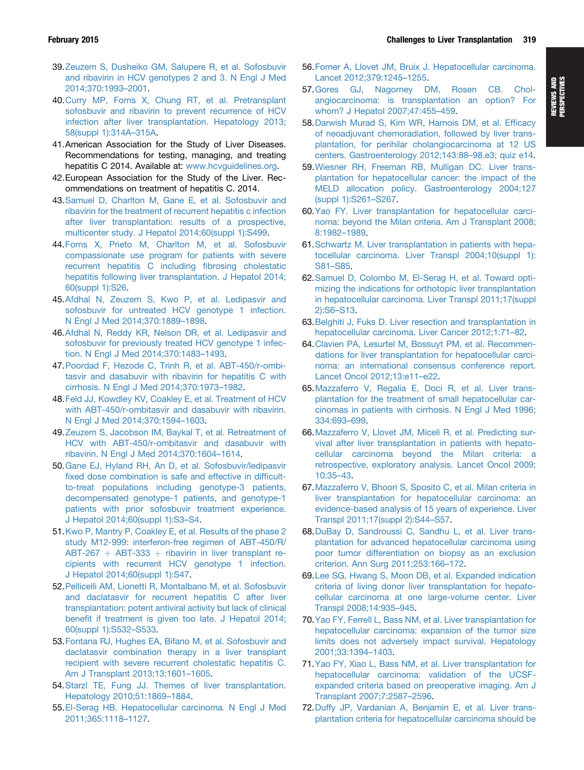- <span id="page-12-0"></span>39.[Zeuzem S, Dusheiko GM, Salupere R, et al. Sofosbuvir](http://refhub.elsevier.com/S0016-5085(14)01088-9/sref37) [and ribavirin in HCV genotypes 2 and 3. N Engl J Med](http://refhub.elsevier.com/S0016-5085(14)01088-9/sref37) [2014;370:1993](http://refhub.elsevier.com/S0016-5085(14)01088-9/sref37)–[2001.](http://refhub.elsevier.com/S0016-5085(14)01088-9/sref37)
- 40.[Curry MP, Forns X, Chung RT, et al. Pretransplant](http://refhub.elsevier.com/S0016-5085(14)01088-9/sref38) [sofosbuvir and ribavirin to prevent recurrence of HCV](http://refhub.elsevier.com/S0016-5085(14)01088-9/sref38) [infection after liver transplantation. Hepatology 2013;](http://refhub.elsevier.com/S0016-5085(14)01088-9/sref38) [58\(suppl 1\):314A](http://refhub.elsevier.com/S0016-5085(14)01088-9/sref38)–[315A.](http://refhub.elsevier.com/S0016-5085(14)01088-9/sref38)
- 41.American Association for the Study of Liver Diseases. Recommendations for testing, managing, and treating hepatitis C 2014. Available at: [www.hcvguidelines.org.](http://www.hcvguidelines.org)
- 42.European Association for the Study of the Liver. Recommendations on treatment of hepatitis C. 2014.
- 43.[Samuel D, Charlton M, Gane E, et al. Sofosbuvir and](http://refhub.elsevier.com/S0016-5085(14)01088-9/sref39) [ribavirin for the treatment of recurrent hepatitis c infection](http://refhub.elsevier.com/S0016-5085(14)01088-9/sref39) [after liver transplantation: results of a prospective,](http://refhub.elsevier.com/S0016-5085(14)01088-9/sref39) [multicenter study. J Hepatol 2014;60\(suppl 1\):S499.](http://refhub.elsevier.com/S0016-5085(14)01088-9/sref39)
- 44.[Forns X, Prieto M, Charlton M, et al. Sofosbuvir](http://refhub.elsevier.com/S0016-5085(14)01088-9/sref40) [compassionate use program for patients with severe](http://refhub.elsevier.com/S0016-5085(14)01088-9/sref40) [recurrent hepatitis C including](http://refhub.elsevier.com/S0016-5085(14)01088-9/sref40) fibrosing cholestatic [hepatitis following liver transplantation. J Hepatol 2014;](http://refhub.elsevier.com/S0016-5085(14)01088-9/sref40) [60\(suppl 1\):S26.](http://refhub.elsevier.com/S0016-5085(14)01088-9/sref40)
- 45.[Afdhal N, Zeuzem S, Kwo P, et al. Ledipasvir and](http://refhub.elsevier.com/S0016-5085(14)01088-9/sref41) [sofosbuvir for untreated HCV genotype 1 infection.](http://refhub.elsevier.com/S0016-5085(14)01088-9/sref41) [N Engl J Med 2014;370:1889](http://refhub.elsevier.com/S0016-5085(14)01088-9/sref41)–[1898](http://refhub.elsevier.com/S0016-5085(14)01088-9/sref41).
- 46.[Afdhal N, Reddy KR, Nelson DR, et al. Ledipasvir and](http://refhub.elsevier.com/S0016-5085(14)01088-9/sref42) [sofosbuvir for previously treated HCV genotype 1 infec](http://refhub.elsevier.com/S0016-5085(14)01088-9/sref42)[tion. N Engl J Med 2014;370:1483](http://refhub.elsevier.com/S0016-5085(14)01088-9/sref42)–[1493](http://refhub.elsevier.com/S0016-5085(14)01088-9/sref42).
- 47.[Poordad F, Hezode C, Trinh R, et al. ABT-450/r-ombi](http://refhub.elsevier.com/S0016-5085(14)01088-9/sref43)[tasvir and dasabuvir with ribavirin for hepatitis C with](http://refhub.elsevier.com/S0016-5085(14)01088-9/sref43) [cirrhosis. N Engl J Med 2014;370:1973](http://refhub.elsevier.com/S0016-5085(14)01088-9/sref43)–[1982.](http://refhub.elsevier.com/S0016-5085(14)01088-9/sref43)
- 48.[Feld JJ, Kowdley KV, Coakley E, et al. Treatment of HCV](http://refhub.elsevier.com/S0016-5085(14)01088-9/sref44) [with ABT-450/r-ombitasvir and dasabuvir with ribavirin.](http://refhub.elsevier.com/S0016-5085(14)01088-9/sref44) [N Engl J Med 2014;370:1594](http://refhub.elsevier.com/S0016-5085(14)01088-9/sref44)–[1603](http://refhub.elsevier.com/S0016-5085(14)01088-9/sref44).
- 49.[Zeuzem S, Jacobson IM, Baykal T, et al. Retreatment of](http://refhub.elsevier.com/S0016-5085(14)01088-9/sref45) [HCV with ABT-450/r-ombitasvir and dasabuvir with](http://refhub.elsevier.com/S0016-5085(14)01088-9/sref45) [ribavirin. N Engl J Med 2014;370:1604](http://refhub.elsevier.com/S0016-5085(14)01088-9/sref45)–[1614](http://refhub.elsevier.com/S0016-5085(14)01088-9/sref45).
- 50.[Gane EJ, Hyland RH, An D, et al. Sofosbuvir/ledipasvir](http://refhub.elsevier.com/S0016-5085(14)01088-9/sref46) fi[xed dose combination is safe and effective in dif](http://refhub.elsevier.com/S0016-5085(14)01088-9/sref46)ficult[to-treat populations including genotype-3 patients,](http://refhub.elsevier.com/S0016-5085(14)01088-9/sref46) [decompensated genotype-1 patients, and genotype-1](http://refhub.elsevier.com/S0016-5085(14)01088-9/sref46) [patients with prior sofosbuvir treatment experience.](http://refhub.elsevier.com/S0016-5085(14)01088-9/sref46) [J Hepatol 2014;60\(suppl 1\):S3](http://refhub.elsevier.com/S0016-5085(14)01088-9/sref46)–[S4.](http://refhub.elsevier.com/S0016-5085(14)01088-9/sref46)
- 51.[Kwo P, Mantry P, Coakley E, et al. Results of the phase 2](http://refhub.elsevier.com/S0016-5085(14)01088-9/sref47) [study M12-999: interferon-free regimen of ABT-450/R/](http://refhub.elsevier.com/S0016-5085(14)01088-9/sref47)  $ABT-267 + ABT-333 + ribavirin$  $ABT-267 + ABT-333 + ribavirin$  $ABT-267 + ABT-333 + ribavirin$  $ABT-267 + ABT-333 + ribavirin$  in liver transplant re[cipients with recurrent HCV genotype 1 infection.](http://refhub.elsevier.com/S0016-5085(14)01088-9/sref47) [J Hepatol 2014;60\(suppl 1\):S47](http://refhub.elsevier.com/S0016-5085(14)01088-9/sref47).
- 52.[Pellicelli AM, Lionetti R, Montalbano M, et al. Sofosbuvir](http://refhub.elsevier.com/S0016-5085(14)01088-9/sref48) [and daclatasvir for recurrent hepatitis C after liver](http://refhub.elsevier.com/S0016-5085(14)01088-9/sref48) [transplantation: potent antiviral activity but lack of clinical](http://refhub.elsevier.com/S0016-5085(14)01088-9/sref48) benefi[t if treatment is given too late. J Hepatol 2014;](http://refhub.elsevier.com/S0016-5085(14)01088-9/sref48) [60\(suppl 1\):S532](http://refhub.elsevier.com/S0016-5085(14)01088-9/sref48)–[S533.](http://refhub.elsevier.com/S0016-5085(14)01088-9/sref48)
- 53.[Fontana RJ, Hughes EA, Bifano M, et al. Sofosbuvir and](http://refhub.elsevier.com/S0016-5085(14)01088-9/sref49) [daclatasvir combination therapy in a liver transplant](http://refhub.elsevier.com/S0016-5085(14)01088-9/sref49) recipient [with severe recurrent cholestatic hepatitis C.](http://refhub.elsevier.com/S0016-5085(14)01088-9/sref49) [Am J Transplant 2013;13:1601](http://refhub.elsevier.com/S0016-5085(14)01088-9/sref49)–[1605.](http://refhub.elsevier.com/S0016-5085(14)01088-9/sref49)
- 54.[Starzl TE, Fung JJ. Themes of liver transplantation.](http://refhub.elsevier.com/S0016-5085(14)01088-9/sref50) [Hepatology 2010;51:1869](http://refhub.elsevier.com/S0016-5085(14)01088-9/sref50)–[1884.](http://refhub.elsevier.com/S0016-5085(14)01088-9/sref50)
- 55.[El-Serag HB. Hepatocellular carcinoma. N Engl J Med](http://refhub.elsevier.com/S0016-5085(14)01088-9/sref51) [2011;365:1118](http://refhub.elsevier.com/S0016-5085(14)01088-9/sref51)–[1127.](http://refhub.elsevier.com/S0016-5085(14)01088-9/sref51)
- 56.[Forner A, Llovet JM, Bruix J. Hepatocellular carcinoma.](http://refhub.elsevier.com/S0016-5085(14)01088-9/sref52) [Lancet 2012;379:1245](http://refhub.elsevier.com/S0016-5085(14)01088-9/sref52)–[1255.](http://refhub.elsevier.com/S0016-5085(14)01088-9/sref52)
- 57.[Gores GJ, Nagorney DM, Rosen CB. Chol](http://refhub.elsevier.com/S0016-5085(14)01088-9/sref53)[angiocarcinoma: is transplantation an option? For](http://refhub.elsevier.com/S0016-5085(14)01088-9/sref53) [whom? J Hepatol 2007;47:455](http://refhub.elsevier.com/S0016-5085(14)01088-9/sref53)–[459](http://refhub.elsevier.com/S0016-5085(14)01088-9/sref53).
- 58.[Darwish Murad S, Kim WR, Harnois DM, et al. Ef](http://refhub.elsevier.com/S0016-5085(14)01088-9/sref54)ficacy [of neoadjuvant chemoradiation, followed by liver trans](http://refhub.elsevier.com/S0016-5085(14)01088-9/sref54)[plantation, for perihilar cholangiocarcinoma at 12 US](http://refhub.elsevier.com/S0016-5085(14)01088-9/sref54) [centers. Gastroenterology 2012;143:88](http://refhub.elsevier.com/S0016-5085(14)01088-9/sref54)–[98.e3; quiz e14](http://refhub.elsevier.com/S0016-5085(14)01088-9/sref54).
- 59.[Wiesner RH, Freeman RB, Mulligan DC. Liver trans](http://refhub.elsevier.com/S0016-5085(14)01088-9/sref55)[plantation for hepatocellular cancer: the impact of the](http://refhub.elsevier.com/S0016-5085(14)01088-9/sref55) [MELD allocation policy. Gastroenterology 2004;127](http://refhub.elsevier.com/S0016-5085(14)01088-9/sref55) [\(suppl 1\):S261](http://refhub.elsevier.com/S0016-5085(14)01088-9/sref55)–[S267.](http://refhub.elsevier.com/S0016-5085(14)01088-9/sref55)
- 60.[Yao FY. Liver transplantation for hepatocellular carci](http://refhub.elsevier.com/S0016-5085(14)01088-9/sref56)[noma: beyond the Milan criteria. Am J Transplant 2008;](http://refhub.elsevier.com/S0016-5085(14)01088-9/sref56) [8:1982](http://refhub.elsevier.com/S0016-5085(14)01088-9/sref56)–[1989.](http://refhub.elsevier.com/S0016-5085(14)01088-9/sref56)
- 61.[Schwartz M. Liver transplantation in patients with hepa](http://refhub.elsevier.com/S0016-5085(14)01088-9/sref57)[tocellular carcinoma. Liver Transpl 2004;10\(suppl 1\):](http://refhub.elsevier.com/S0016-5085(14)01088-9/sref57) [S81](http://refhub.elsevier.com/S0016-5085(14)01088-9/sref57)–[S85](http://refhub.elsevier.com/S0016-5085(14)01088-9/sref57).
- 62.[Samuel D, Colombo M, El-Serag H, et al. Toward opti](http://refhub.elsevier.com/S0016-5085(14)01088-9/sref58)[mizing the indications for orthotopic liver transplantation](http://refhub.elsevier.com/S0016-5085(14)01088-9/sref58) [in hepatocellular carcinoma. Liver Transpl 2011;17\(suppl](http://refhub.elsevier.com/S0016-5085(14)01088-9/sref58) [2\):S6](http://refhub.elsevier.com/S0016-5085(14)01088-9/sref58)–[S13](http://refhub.elsevier.com/S0016-5085(14)01088-9/sref58).
- 63.[Belghiti J, Fuks D. Liver resection and transplantation in](http://refhub.elsevier.com/S0016-5085(14)01088-9/sref59) [hepatocellular carcinoma. Liver Cancer 2012;1:71](http://refhub.elsevier.com/S0016-5085(14)01088-9/sref59)–[82](http://refhub.elsevier.com/S0016-5085(14)01088-9/sref59).
- 64.[Clavien PA, Lesurtel M, Bossuyt PM, et al. Recommen](http://refhub.elsevier.com/S0016-5085(14)01088-9/sref60)[dations for liver transplantation for hepatocellular carci](http://refhub.elsevier.com/S0016-5085(14)01088-9/sref60)[noma: an international consensus conference report.](http://refhub.elsevier.com/S0016-5085(14)01088-9/sref60) [Lancet Oncol 2012;13:e11](http://refhub.elsevier.com/S0016-5085(14)01088-9/sref60)–[e22](http://refhub.elsevier.com/S0016-5085(14)01088-9/sref60).
- 65.[Mazzaferro V, Regalia E, Doci R, et al. Liver trans](http://refhub.elsevier.com/S0016-5085(14)01088-9/sref61)[plantation for the treatment of small hepatocellular car](http://refhub.elsevier.com/S0016-5085(14)01088-9/sref61)[cinomas in patients with cirrhosis. N Engl J Med 1996;](http://refhub.elsevier.com/S0016-5085(14)01088-9/sref61) [334:693](http://refhub.elsevier.com/S0016-5085(14)01088-9/sref61)–[699.](http://refhub.elsevier.com/S0016-5085(14)01088-9/sref61)
- 66.[Mazzaferro V, Llovet JM, Miceli R, et al. Predicting sur](http://refhub.elsevier.com/S0016-5085(14)01088-9/sref62)[vival after liver transplantation in patients with hepato](http://refhub.elsevier.com/S0016-5085(14)01088-9/sref62)[cellular carcinoma beyond the Milan criteria: a](http://refhub.elsevier.com/S0016-5085(14)01088-9/sref62) [retrospective, exploratory analysis. Lancet Oncol 2009;](http://refhub.elsevier.com/S0016-5085(14)01088-9/sref62) [10:35](http://refhub.elsevier.com/S0016-5085(14)01088-9/sref62)–[43](http://refhub.elsevier.com/S0016-5085(14)01088-9/sref62).
- 67.[Mazzaferro V, Bhoori S, Sposito C, et al. Milan criteria in](http://refhub.elsevier.com/S0016-5085(14)01088-9/sref63) [liver transplantation for hepatocellular carcinoma: an](http://refhub.elsevier.com/S0016-5085(14)01088-9/sref63) [evidence-based analysis of 15 years of experience. Liver](http://refhub.elsevier.com/S0016-5085(14)01088-9/sref63) [Transpl 2011;17\(suppl 2\):S44](http://refhub.elsevier.com/S0016-5085(14)01088-9/sref63)–[S57](http://refhub.elsevier.com/S0016-5085(14)01088-9/sref63).
- 68.DuBay [D, Sandroussi C, Sandhu L, et al. Liver trans](http://refhub.elsevier.com/S0016-5085(14)01088-9/sref64)[plantation for advanced hepatocellular carcinoma using](http://refhub.elsevier.com/S0016-5085(14)01088-9/sref64) [poor tumor differentiation on biopsy as an exclusion](http://refhub.elsevier.com/S0016-5085(14)01088-9/sref64) [criterion. Ann Surg 2011;253:166](http://refhub.elsevier.com/S0016-5085(14)01088-9/sref64)–[172.](http://refhub.elsevier.com/S0016-5085(14)01088-9/sref64)
- 69.[Lee SG, Hwang S, Moon DB, et al. Expanded indication](http://refhub.elsevier.com/S0016-5085(14)01088-9/sref65) [criteria of living donor liver transplantation for hepato](http://refhub.elsevier.com/S0016-5085(14)01088-9/sref65)[cellular carcinoma at one large-volume center. Liver](http://refhub.elsevier.com/S0016-5085(14)01088-9/sref65) [Transpl 2008;14:935](http://refhub.elsevier.com/S0016-5085(14)01088-9/sref65)–[945.](http://refhub.elsevier.com/S0016-5085(14)01088-9/sref65)
- 70.[Yao FY, Ferrell L, Bass NM, et al. Liver transplantation for](http://refhub.elsevier.com/S0016-5085(14)01088-9/sref66) [hepatocellular carcinoma: expansion of the tumor size](http://refhub.elsevier.com/S0016-5085(14)01088-9/sref66) [limits does not adversely impact survival. Hepatology](http://refhub.elsevier.com/S0016-5085(14)01088-9/sref66) [2001;33:1394](http://refhub.elsevier.com/S0016-5085(14)01088-9/sref66)–[1403](http://refhub.elsevier.com/S0016-5085(14)01088-9/sref66).
- 71.[Yao FY, Xiao L, Bass NM, et al. Liver transplantation for](http://refhub.elsevier.com/S0016-5085(14)01088-9/sref67) [hepatocellular carcinoma: validation of the UCSF](http://refhub.elsevier.com/S0016-5085(14)01088-9/sref67)[expanded criteria based on preoperative imaging. Am J](http://refhub.elsevier.com/S0016-5085(14)01088-9/sref67) [Transplant 2007;7:2587](http://refhub.elsevier.com/S0016-5085(14)01088-9/sref67)–[2596](http://refhub.elsevier.com/S0016-5085(14)01088-9/sref67).
- 72.[Duffy JP, Vardanian A, Benjamin E, et al. Liver trans](http://refhub.elsevier.com/S0016-5085(14)01088-9/sref68)[plantation criteria for hepatocellular carcinoma should be](http://refhub.elsevier.com/S0016-5085(14)01088-9/sref68)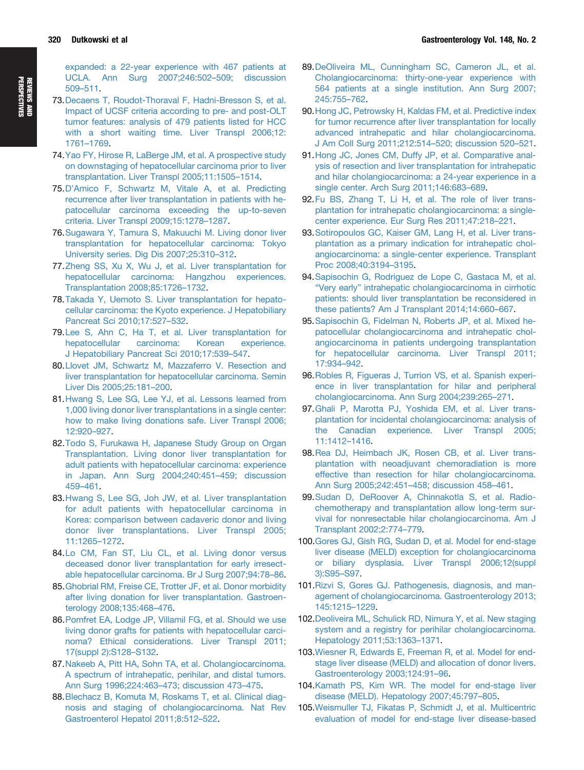<span id="page-13-0"></span>[expanded: a 22-year experience with 467 patients at](http://refhub.elsevier.com/S0016-5085(14)01088-9/sref68) [UCLA. Ann Surg 2007;246:502](http://refhub.elsevier.com/S0016-5085(14)01088-9/sref68)–[509; discussion](http://refhub.elsevier.com/S0016-5085(14)01088-9/sref68) [509](http://refhub.elsevier.com/S0016-5085(14)01088-9/sref68)–[511.](http://refhub.elsevier.com/S0016-5085(14)01088-9/sref68)

- 73.[Decaens T, Roudot-Thoraval F, Hadni-Bresson S, et al.](http://refhub.elsevier.com/S0016-5085(14)01088-9/sref69) [Impact of UCSF criteria according to pre- and post-OLT](http://refhub.elsevier.com/S0016-5085(14)01088-9/sref69) [tumor features: analysis of 479 patients listed for HCC](http://refhub.elsevier.com/S0016-5085(14)01088-9/sref69) [with a short waiting time. Liver Transpl 2006;12:](http://refhub.elsevier.com/S0016-5085(14)01088-9/sref69) [1761](http://refhub.elsevier.com/S0016-5085(14)01088-9/sref69)–[1769](http://refhub.elsevier.com/S0016-5085(14)01088-9/sref69).
- 74.[Yao FY, Hirose R, LaBerge JM, et al. A prospective study](http://refhub.elsevier.com/S0016-5085(14)01088-9/sref70) [on downstaging of hepatocellular carcinoma prior to liver](http://refhub.elsevier.com/S0016-5085(14)01088-9/sref70) [transplantation. Liver Transpl 2005;11:1505](http://refhub.elsevier.com/S0016-5085(14)01088-9/sref70)–[1514.](http://refhub.elsevier.com/S0016-5085(14)01088-9/sref70)
- 75.D'[Amico F, Schwartz M, Vitale A, et al. Predicting](http://refhub.elsevier.com/S0016-5085(14)01088-9/sref71) [recurrence after liver transplantation in patients with he](http://refhub.elsevier.com/S0016-5085(14)01088-9/sref71)[patocellular carcinoma exceeding the up-to-seven](http://refhub.elsevier.com/S0016-5085(14)01088-9/sref71) [criteria. Liver Transpl 2009;15:1278](http://refhub.elsevier.com/S0016-5085(14)01088-9/sref71)–[1287.](http://refhub.elsevier.com/S0016-5085(14)01088-9/sref71)
- 76.[Sugawara Y, Tamura S, Makuuchi M. Living donor liver](http://refhub.elsevier.com/S0016-5085(14)01088-9/sref72) [transplantation for hepatocellular carcinoma: Tokyo](http://refhub.elsevier.com/S0016-5085(14)01088-9/sref72) [University series. Dig Dis 2007;25:310](http://refhub.elsevier.com/S0016-5085(14)01088-9/sref72)–[312](http://refhub.elsevier.com/S0016-5085(14)01088-9/sref72).
- 77.[Zheng SS, Xu X, Wu J, et al. Liver transplantation for](http://refhub.elsevier.com/S0016-5085(14)01088-9/sref73) [hepatocellular carcinoma: Hangzhou experiences.](http://refhub.elsevier.com/S0016-5085(14)01088-9/sref73) [Transplantation 2008;85:1726](http://refhub.elsevier.com/S0016-5085(14)01088-9/sref73)–[1732](http://refhub.elsevier.com/S0016-5085(14)01088-9/sref73).
- 78.[Takada Y, Uemoto S. Liver transplantation for hepato](http://refhub.elsevier.com/S0016-5085(14)01088-9/sref74)[cellular carcinoma: the Kyoto experience. J Hepatobiliary](http://refhub.elsevier.com/S0016-5085(14)01088-9/sref74) [Pancreat Sci 2010;17:527](http://refhub.elsevier.com/S0016-5085(14)01088-9/sref74)–[532](http://refhub.elsevier.com/S0016-5085(14)01088-9/sref74).
- 79.[Lee S, Ahn C, Ha T, et al. Liver transplantation for](http://refhub.elsevier.com/S0016-5085(14)01088-9/sref75) [hepatocellular carcinoma: Korean experience.](http://refhub.elsevier.com/S0016-5085(14)01088-9/sref75) [J Hepatobiliary Pancreat Sci 2010;17:539](http://refhub.elsevier.com/S0016-5085(14)01088-9/sref75)–[547.](http://refhub.elsevier.com/S0016-5085(14)01088-9/sref75)
- 80.[Llovet JM, Schwartz M, Mazzaferro V. Resection and](http://refhub.elsevier.com/S0016-5085(14)01088-9/sref76) [liver transplantation for hepatocellular carcinoma. Semin](http://refhub.elsevier.com/S0016-5085(14)01088-9/sref76) [Liver Dis 2005;25:181](http://refhub.elsevier.com/S0016-5085(14)01088-9/sref76)–[200.](http://refhub.elsevier.com/S0016-5085(14)01088-9/sref76)
- 81.[Hwang S, Lee SG, Lee YJ, et al. Lessons learned from](http://refhub.elsevier.com/S0016-5085(14)01088-9/sref77) [1,000 living donor liver transplantations in a single center:](http://refhub.elsevier.com/S0016-5085(14)01088-9/sref77) [how to make living donations safe. Liver Transpl 2006;](http://refhub.elsevier.com/S0016-5085(14)01088-9/sref77) [12:920](http://refhub.elsevier.com/S0016-5085(14)01088-9/sref77)–[927.](http://refhub.elsevier.com/S0016-5085(14)01088-9/sref77)
- 82.[Todo S, Furukawa H, Japanese Study Group on Organ](http://refhub.elsevier.com/S0016-5085(14)01088-9/sref78) [Transplantation. Living donor liver transplantation for](http://refhub.elsevier.com/S0016-5085(14)01088-9/sref78) [adult patients with hepatocellular carcinoma: experience](http://refhub.elsevier.com/S0016-5085(14)01088-9/sref78) [in Japan. Ann Surg 2004;240:451](http://refhub.elsevier.com/S0016-5085(14)01088-9/sref78)–[459; discussion](http://refhub.elsevier.com/S0016-5085(14)01088-9/sref78) [459](http://refhub.elsevier.com/S0016-5085(14)01088-9/sref78)–[461.](http://refhub.elsevier.com/S0016-5085(14)01088-9/sref78)
- 83.[Hwang S, Lee SG, Joh JW, et al. Liver transplantation](http://refhub.elsevier.com/S0016-5085(14)01088-9/sref79) [for adult patients with hepatocellular carcinoma in](http://refhub.elsevier.com/S0016-5085(14)01088-9/sref79) [Korea: comparison between cadaveric donor and living](http://refhub.elsevier.com/S0016-5085(14)01088-9/sref79) [donor liver transplantations. Liver Transpl 2005;](http://refhub.elsevier.com/S0016-5085(14)01088-9/sref79) [11:1265](http://refhub.elsevier.com/S0016-5085(14)01088-9/sref79)–[1272.](http://refhub.elsevier.com/S0016-5085(14)01088-9/sref79)
- 84.[Lo CM, Fan ST, Liu CL, et al. Living donor versus](http://refhub.elsevier.com/S0016-5085(14)01088-9/sref80) [deceased donor liver transplantation for early irresect](http://refhub.elsevier.com/S0016-5085(14)01088-9/sref80)[able hepatocellular carcinoma. Br J Surg 2007;94:78](http://refhub.elsevier.com/S0016-5085(14)01088-9/sref80)–[86.](http://refhub.elsevier.com/S0016-5085(14)01088-9/sref80)
- 85.[Ghobrial RM, Freise CE, Trotter JF, et al. Donor morbidity](http://refhub.elsevier.com/S0016-5085(14)01088-9/sref81) [after living donation for liver transplantation. Gastroen](http://refhub.elsevier.com/S0016-5085(14)01088-9/sref81)[terology 2008;135:468](http://refhub.elsevier.com/S0016-5085(14)01088-9/sref81)–[476](http://refhub.elsevier.com/S0016-5085(14)01088-9/sref81).
- 86.Pomfret [EA, Lodge JP, Villamil FG, et al. Should we use](http://refhub.elsevier.com/S0016-5085(14)01088-9/sref82) [living donor grafts for patients with hepatocellular carci](http://refhub.elsevier.com/S0016-5085(14)01088-9/sref82)[noma? Ethical considerations. Liver Transpl 2011;](http://refhub.elsevier.com/S0016-5085(14)01088-9/sref82) [17\(suppl 2\):S128](http://refhub.elsevier.com/S0016-5085(14)01088-9/sref82)–[S132.](http://refhub.elsevier.com/S0016-5085(14)01088-9/sref82)
- 87.[Nakeeb A, Pitt HA, Sohn TA, et al. Cholangiocarcinoma.](http://refhub.elsevier.com/S0016-5085(14)01088-9/sref83) [A spectrum of intrahepatic, perihilar, and distal tumors.](http://refhub.elsevier.com/S0016-5085(14)01088-9/sref83) [Ann Surg 1996;224:463](http://refhub.elsevier.com/S0016-5085(14)01088-9/sref83)–[473; discussion 473](http://refhub.elsevier.com/S0016-5085(14)01088-9/sref83)–[475](http://refhub.elsevier.com/S0016-5085(14)01088-9/sref83).
- 88.[Blechacz B, Komuta M, Roskams T, et al. Clinical diag](http://refhub.elsevier.com/S0016-5085(14)01088-9/sref84)[nosis and staging of cholangiocarcinoma. Nat Rev](http://refhub.elsevier.com/S0016-5085(14)01088-9/sref84) [Gastroenterol Hepatol 2011;8:512](http://refhub.elsevier.com/S0016-5085(14)01088-9/sref84)–[522](http://refhub.elsevier.com/S0016-5085(14)01088-9/sref84).
- 89.[DeOliveira ML, Cunningham SC, Cameron JL, et al.](http://refhub.elsevier.com/S0016-5085(14)01088-9/sref85) [Cholangiocarcinoma: thirty-one-year experience with](http://refhub.elsevier.com/S0016-5085(14)01088-9/sref85) [564 patients at a single institution. Ann Surg 2007;](http://refhub.elsevier.com/S0016-5085(14)01088-9/sref85) [245:755](http://refhub.elsevier.com/S0016-5085(14)01088-9/sref85)–[762.](http://refhub.elsevier.com/S0016-5085(14)01088-9/sref85)
- 90.[Hong JC, Petrowsky H, Kaldas FM, et al. Predictive index](http://refhub.elsevier.com/S0016-5085(14)01088-9/sref86) [for tumor recurrence after liver transplantation for locally](http://refhub.elsevier.com/S0016-5085(14)01088-9/sref86) [advanced intrahepatic and hilar cholangiocarcinoma.](http://refhub.elsevier.com/S0016-5085(14)01088-9/sref86) [J Am Coll Surg 2011;212:514](http://refhub.elsevier.com/S0016-5085(14)01088-9/sref86)–[520; discussion 520](http://refhub.elsevier.com/S0016-5085(14)01088-9/sref86)–[521.](http://refhub.elsevier.com/S0016-5085(14)01088-9/sref86)
- 91.[Hong JC, Jones CM, Duffy JP, et al. Comparative anal](http://refhub.elsevier.com/S0016-5085(14)01088-9/sref87)[ysis of resection and liver transplantation for intrahepatic](http://refhub.elsevier.com/S0016-5085(14)01088-9/sref87) [and hilar cholangiocarcinoma: a 24-year experience in a](http://refhub.elsevier.com/S0016-5085(14)01088-9/sref87) [single center. Arch Surg 2011;146:683](http://refhub.elsevier.com/S0016-5085(14)01088-9/sref87)–[689.](http://refhub.elsevier.com/S0016-5085(14)01088-9/sref87)
- 92.[Fu BS, Zhang T, Li H, et al. The role of liver trans](http://refhub.elsevier.com/S0016-5085(14)01088-9/sref88)[plantation for intrahepatic cholangiocarcinoma: a single](http://refhub.elsevier.com/S0016-5085(14)01088-9/sref88)[center experience. Eur Surg Res 2011;47:218](http://refhub.elsevier.com/S0016-5085(14)01088-9/sref88)–[221](http://refhub.elsevier.com/S0016-5085(14)01088-9/sref88).
- 93.[Sotiropoulos GC, Kaiser GM, Lang H, et al. Liver trans](http://refhub.elsevier.com/S0016-5085(14)01088-9/sref89)[plantation as a primary indication for intrahepatic chol](http://refhub.elsevier.com/S0016-5085(14)01088-9/sref89)[angiocarcinoma: a single-center experience. Transplant](http://refhub.elsevier.com/S0016-5085(14)01088-9/sref89) [Proc 2008;40:3194](http://refhub.elsevier.com/S0016-5085(14)01088-9/sref89)–[3195.](http://refhub.elsevier.com/S0016-5085(14)01088-9/sref89)
- 94.[Sapisochin G, Rodriguez de Lope C, Gastaca M, et al.](http://refhub.elsevier.com/S0016-5085(14)01088-9/sref90) "Very early" [intrahepatic cholangiocarcinoma in cirrhotic](http://refhub.elsevier.com/S0016-5085(14)01088-9/sref90) [patients: should liver transplantation be reconsidered in](http://refhub.elsevier.com/S0016-5085(14)01088-9/sref90) [these patients? Am J Transplant 2014;14:660](http://refhub.elsevier.com/S0016-5085(14)01088-9/sref90)–[667](http://refhub.elsevier.com/S0016-5085(14)01088-9/sref90).
- 95.[Sapisochin G, Fidelman N, Roberts JP, et al. Mixed he](http://refhub.elsevier.com/S0016-5085(14)01088-9/sref91)[patocellular cholangiocarcinoma and intrahepatic chol](http://refhub.elsevier.com/S0016-5085(14)01088-9/sref91)[angiocarcinoma in patients undergoing transplantation](http://refhub.elsevier.com/S0016-5085(14)01088-9/sref91) [for hepatocellular carcinoma. Liver Transpl 2011;](http://refhub.elsevier.com/S0016-5085(14)01088-9/sref91) [17:934](http://refhub.elsevier.com/S0016-5085(14)01088-9/sref91)–[942](http://refhub.elsevier.com/S0016-5085(14)01088-9/sref91).
- 96.[Robles R, Figueras J, Turrion VS, et al. Spanish experi](http://refhub.elsevier.com/S0016-5085(14)01088-9/sref92)[ence in liver transplantation for hilar and peripheral](http://refhub.elsevier.com/S0016-5085(14)01088-9/sref92) [cholangiocarcinoma. Ann Surg 2004;239:265](http://refhub.elsevier.com/S0016-5085(14)01088-9/sref92)–[271](http://refhub.elsevier.com/S0016-5085(14)01088-9/sref92).
- 97.[Ghali P, Marotta PJ, Yoshida EM, et al. Liver trans](http://refhub.elsevier.com/S0016-5085(14)01088-9/sref93)[plantation for incidental cholangiocarcinoma: analysis of](http://refhub.elsevier.com/S0016-5085(14)01088-9/sref93) [the Canadian experience. Liver Transpl 2005;](http://refhub.elsevier.com/S0016-5085(14)01088-9/sref93) [11:1412](http://refhub.elsevier.com/S0016-5085(14)01088-9/sref93)–[1416](http://refhub.elsevier.com/S0016-5085(14)01088-9/sref93).
- 98.[Rea DJ, Heimbach JK, Rosen CB, et al. Liver trans](http://refhub.elsevier.com/S0016-5085(14)01088-9/sref94)[plantation with neoadjuvant chemoradiation is more](http://refhub.elsevier.com/S0016-5085(14)01088-9/sref94) [effective than resection for hilar cholangiocarcinoma.](http://refhub.elsevier.com/S0016-5085(14)01088-9/sref94) [Ann Surg 2005;242:451](http://refhub.elsevier.com/S0016-5085(14)01088-9/sref94)–[458; discussion 458](http://refhub.elsevier.com/S0016-5085(14)01088-9/sref94)–[461](http://refhub.elsevier.com/S0016-5085(14)01088-9/sref94).
- 99.Sudan [D, DeRoover A, Chinnakotla S, et al. Radio](http://refhub.elsevier.com/S0016-5085(14)01088-9/sref95)[chemotherapy and transplantation allow long-term sur](http://refhub.elsevier.com/S0016-5085(14)01088-9/sref95)[vival for nonresectable hilar cholangiocarcinoma. Am J](http://refhub.elsevier.com/S0016-5085(14)01088-9/sref95) [Transplant 2002;2:774](http://refhub.elsevier.com/S0016-5085(14)01088-9/sref95)–[779](http://refhub.elsevier.com/S0016-5085(14)01088-9/sref95).
- 100[.Gores GJ, Gish RG, Sudan D, et al. Model for end-stage](http://refhub.elsevier.com/S0016-5085(14)01088-9/sref96) [liver disease \(MELD\) exception for cholangiocarcinoma](http://refhub.elsevier.com/S0016-5085(14)01088-9/sref96) [or biliary dysplasia. Liver Transpl 2006;12\(suppl](http://refhub.elsevier.com/S0016-5085(14)01088-9/sref96) [3\):S95](http://refhub.elsevier.com/S0016-5085(14)01088-9/sref96)–[S97.](http://refhub.elsevier.com/S0016-5085(14)01088-9/sref96)
- 101[.Rizvi S, Gores GJ. Pathogenesis, diagnosis, and man](http://refhub.elsevier.com/S0016-5085(14)01088-9/sref97)[agement of cholangiocarcinoma. Gastroenterology 2013;](http://refhub.elsevier.com/S0016-5085(14)01088-9/sref97) [145:1215](http://refhub.elsevier.com/S0016-5085(14)01088-9/sref97)–[1229.](http://refhub.elsevier.com/S0016-5085(14)01088-9/sref97)
- 102[.Deoliveira ML, Schulick RD, Nimura Y, et al. New staging](http://refhub.elsevier.com/S0016-5085(14)01088-9/sref98) [system and a registry for perihilar cholangiocarcinoma.](http://refhub.elsevier.com/S0016-5085(14)01088-9/sref98) [Hepatology 2011;53:1363](http://refhub.elsevier.com/S0016-5085(14)01088-9/sref98)–[1371.](http://refhub.elsevier.com/S0016-5085(14)01088-9/sref98)
- 103[.Wiesner R, Edwards E, Freeman R, et al. Model for end](http://refhub.elsevier.com/S0016-5085(14)01088-9/sref99)[stage liver disease \(MELD\) and allocation of donor livers.](http://refhub.elsevier.com/S0016-5085(14)01088-9/sref99) [Gastroenterology 2003;124:91](http://refhub.elsevier.com/S0016-5085(14)01088-9/sref99)–[96](http://refhub.elsevier.com/S0016-5085(14)01088-9/sref99).
- 104[.Kamath PS, Kim WR. The model for end-stage liver](http://refhub.elsevier.com/S0016-5085(14)01088-9/sref100) [disease \(MELD\). Hepatology 2007;45:797](http://refhub.elsevier.com/S0016-5085(14)01088-9/sref100)–[805.](http://refhub.elsevier.com/S0016-5085(14)01088-9/sref100)
- 105[.Weismuller TJ, Fikatas P, Schmidt J, et al. Multicentric](http://refhub.elsevier.com/S0016-5085(14)01088-9/sref101) [evaluation of model for end-stage liver disease-based](http://refhub.elsevier.com/S0016-5085(14)01088-9/sref101)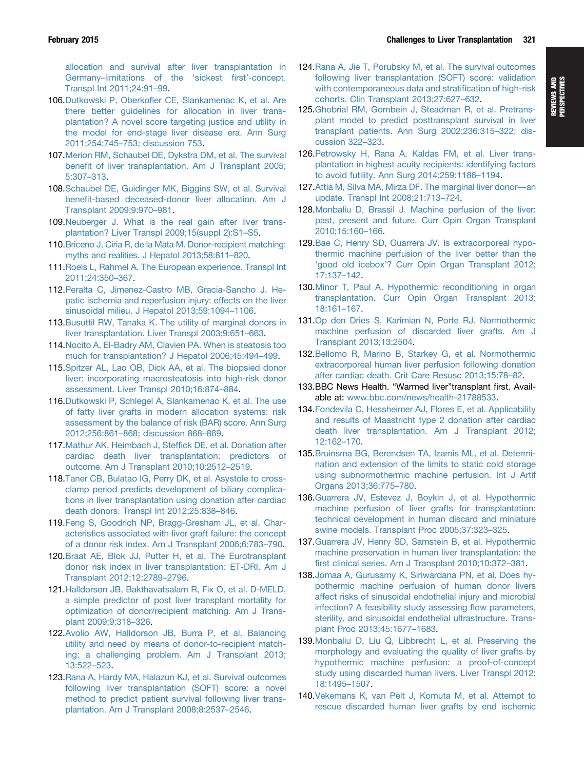<span id="page-14-0"></span>[allocation and survival after liver transplantation in](http://refhub.elsevier.com/S0016-5085(14)01088-9/sref101) [Germany](http://refhub.elsevier.com/S0016-5085(14)01088-9/sref101)–[limitations of the](http://refhub.elsevier.com/S0016-5085(14)01088-9/sref101) 'sickest first'-concept. [Transpl Int 2011;24:91](http://refhub.elsevier.com/S0016-5085(14)01088-9/sref101)–[99.](http://refhub.elsevier.com/S0016-5085(14)01088-9/sref101)

- 106.Dutkowski P, Oberkofl[er CE, Slankamenac K, et al. Are](http://refhub.elsevier.com/S0016-5085(14)01088-9/sref102) [there better guidelines for allocation in liver trans](http://refhub.elsevier.com/S0016-5085(14)01088-9/sref102)[plantation? A novel score targeting justice and utility in](http://refhub.elsevier.com/S0016-5085(14)01088-9/sref102) [the model for end-stage liver disease era. Ann Surg](http://refhub.elsevier.com/S0016-5085(14)01088-9/sref102) [2011;254:745](http://refhub.elsevier.com/S0016-5085(14)01088-9/sref102)–[753; discussion 753.](http://refhub.elsevier.com/S0016-5085(14)01088-9/sref102)
- 107[.Merion RM, Schaubel DE, Dykstra DM, et al. The survival](http://refhub.elsevier.com/S0016-5085(14)01088-9/sref103) benefi[t of liver transplantation. Am J Transplant 2005;](http://refhub.elsevier.com/S0016-5085(14)01088-9/sref103) [5:307](http://refhub.elsevier.com/S0016-5085(14)01088-9/sref103)–[313.](http://refhub.elsevier.com/S0016-5085(14)01088-9/sref103)
- 108[.Schaubel DE, Guidinger MK, Biggins SW, et al. Survival](http://refhub.elsevier.com/S0016-5085(14)01088-9/sref104) benefi[t-based deceased-donor liver allocation. Am J](http://refhub.elsevier.com/S0016-5085(14)01088-9/sref104) [Transplant 2009;9:970](http://refhub.elsevier.com/S0016-5085(14)01088-9/sref104)–[981](http://refhub.elsevier.com/S0016-5085(14)01088-9/sref104).
- 109[.Neuberger J. What is the real gain after liver trans](http://refhub.elsevier.com/S0016-5085(14)01088-9/sref105)[plantation? Liver Transpl 2009;15\(suppl 2\):S1](http://refhub.elsevier.com/S0016-5085(14)01088-9/sref105)–[S5.](http://refhub.elsevier.com/S0016-5085(14)01088-9/sref105)
- 110[.Briceno J, Ciria R, de la Mata M. Donor-recipient matching:](http://refhub.elsevier.com/S0016-5085(14)01088-9/sref106) [myths and realities. J Hepatol 2013;58:811](http://refhub.elsevier.com/S0016-5085(14)01088-9/sref106)–[820](http://refhub.elsevier.com/S0016-5085(14)01088-9/sref106).
- 111[.Roels L, Rahmel A. The European experience. Transpl Int](http://refhub.elsevier.com/S0016-5085(14)01088-9/sref107) [2011;24:350](http://refhub.elsevier.com/S0016-5085(14)01088-9/sref107)–[367](http://refhub.elsevier.com/S0016-5085(14)01088-9/sref107).
- 112[.Peralta C, Jimenez-Castro MB, Gracia-Sancho J. He](http://refhub.elsevier.com/S0016-5085(14)01088-9/sref108)[patic ischemia and reperfusion injury: effects on the liver](http://refhub.elsevier.com/S0016-5085(14)01088-9/sref108) [sinusoidal milieu. J Hepatol 2013;59:1094](http://refhub.elsevier.com/S0016-5085(14)01088-9/sref108)–[1106](http://refhub.elsevier.com/S0016-5085(14)01088-9/sref108).
- 113[.Busuttil RW, Tanaka K. The utility of marginal donors in](http://refhub.elsevier.com/S0016-5085(14)01088-9/sref109) [liver transplantation. Liver Transpl 2003;9:651](http://refhub.elsevier.com/S0016-5085(14)01088-9/sref109)–[663](http://refhub.elsevier.com/S0016-5085(14)01088-9/sref109).
- 114[.Nocito A, El-Badry AM, Clavien PA. When is steatosis too](http://refhub.elsevier.com/S0016-5085(14)01088-9/sref110) [much for transplantation? J Hepatol 2006;45:494](http://refhub.elsevier.com/S0016-5085(14)01088-9/sref110)–[499.](http://refhub.elsevier.com/S0016-5085(14)01088-9/sref110)
- 115[.Spitzer AL, Lao OB, Dick AA, et al. The biopsied donor](http://refhub.elsevier.com/S0016-5085(14)01088-9/sref111) [liver: incorporating macrosteatosis into high-risk donor](http://refhub.elsevier.com/S0016-5085(14)01088-9/sref111) [assessment. Liver Transpl 2010;16:874](http://refhub.elsevier.com/S0016-5085(14)01088-9/sref111)–[884](http://refhub.elsevier.com/S0016-5085(14)01088-9/sref111).
- 116[.Dutkowski P, Schlegel A, Slankamenac K, et al. The use](http://refhub.elsevier.com/S0016-5085(14)01088-9/sref112) [of fatty liver grafts in modern allocation systems: risk](http://refhub.elsevier.com/S0016-5085(14)01088-9/sref112) [assessment by the balance of risk \(BAR\) score. Ann Surg](http://refhub.elsevier.com/S0016-5085(14)01088-9/sref112) [2012;256:861](http://refhub.elsevier.com/S0016-5085(14)01088-9/sref112)–[868; discussion 868](http://refhub.elsevier.com/S0016-5085(14)01088-9/sref112)–[869](http://refhub.elsevier.com/S0016-5085(14)01088-9/sref112).
- 117[.Mathur AK, Heimbach J, Stef](http://refhub.elsevier.com/S0016-5085(14)01088-9/sref113)fick DE, et al. Donation after [cardiac death liver transplantation: predictors of](http://refhub.elsevier.com/S0016-5085(14)01088-9/sref113) [outcome. Am J Transplant 2010;10:2512](http://refhub.elsevier.com/S0016-5085(14)01088-9/sref113)–[2519](http://refhub.elsevier.com/S0016-5085(14)01088-9/sref113).
- 118.Taner [CB, Bulatao IG, Perry DK, et al. Asystole to cross](http://refhub.elsevier.com/S0016-5085(14)01088-9/sref114)[clamp period predicts development of biliary complica](http://refhub.elsevier.com/S0016-5085(14)01088-9/sref114)[tions in liver transplantation using donation after cardiac](http://refhub.elsevier.com/S0016-5085(14)01088-9/sref114) [death donors. Transpl Int 2012;25:838](http://refhub.elsevier.com/S0016-5085(14)01088-9/sref114)–[846](http://refhub.elsevier.com/S0016-5085(14)01088-9/sref114).
- 119[.Feng S, Goodrich NP, Bragg-Gresham JL, et al. Char](http://refhub.elsevier.com/S0016-5085(14)01088-9/sref115)[acteristics associated with liver graft failure: the concept](http://refhub.elsevier.com/S0016-5085(14)01088-9/sref115) [of a donor risk index. Am J Transplant 2006;6:783](http://refhub.elsevier.com/S0016-5085(14)01088-9/sref115)–[790](http://refhub.elsevier.com/S0016-5085(14)01088-9/sref115).
- 120[.Braat AE, Blok JJ, Putter H, et al. The Eurotransplant](http://refhub.elsevier.com/S0016-5085(14)01088-9/sref116) [donor risk index in liver transplantation: ET-DRI. Am J](http://refhub.elsevier.com/S0016-5085(14)01088-9/sref116) [Transplant 2012;12:2789](http://refhub.elsevier.com/S0016-5085(14)01088-9/sref116)–[2796.](http://refhub.elsevier.com/S0016-5085(14)01088-9/sref116)
- 121[.Halldorson JB, Bakthavatsalam R, Fix O, et al. D-MELD,](http://refhub.elsevier.com/S0016-5085(14)01088-9/sref117) [a simple predictor of post liver transplant mortality for](http://refhub.elsevier.com/S0016-5085(14)01088-9/sref117) [optimization of donor/recipient matching. Am J Trans](http://refhub.elsevier.com/S0016-5085(14)01088-9/sref117)[plant 2009;9:318](http://refhub.elsevier.com/S0016-5085(14)01088-9/sref117)–[326.](http://refhub.elsevier.com/S0016-5085(14)01088-9/sref117)
- 122[.Avolio AW, Halldorson JB, Burra P, et al. Balancing](http://refhub.elsevier.com/S0016-5085(14)01088-9/sref118) [utility and need by means of donor-to-recipient match](http://refhub.elsevier.com/S0016-5085(14)01088-9/sref118)[ing: a challenging problem. Am J Transplant 2013;](http://refhub.elsevier.com/S0016-5085(14)01088-9/sref118) [13:522](http://refhub.elsevier.com/S0016-5085(14)01088-9/sref118)–[523.](http://refhub.elsevier.com/S0016-5085(14)01088-9/sref118)
- 123[.Rana A, Hardy MA, Halazun KJ, et al. Survival outcomes](http://refhub.elsevier.com/S0016-5085(14)01088-9/sref119) [following liver transplantation \(SOFT\) score: a novel](http://refhub.elsevier.com/S0016-5085(14)01088-9/sref119) [method to predict patient survival following liver trans](http://refhub.elsevier.com/S0016-5085(14)01088-9/sref119)[plantation. Am J Transplant 2008;8:2537](http://refhub.elsevier.com/S0016-5085(14)01088-9/sref119)–[2546](http://refhub.elsevier.com/S0016-5085(14)01088-9/sref119).
- 124[.Rana A, Jie T, Porubsky M, et al. The survival outcomes](http://refhub.elsevier.com/S0016-5085(14)01088-9/sref120) [following liver transplantation \(SOFT\) score: validation](http://refhub.elsevier.com/S0016-5085(14)01088-9/sref120) [with contemporaneous data and strati](http://refhub.elsevier.com/S0016-5085(14)01088-9/sref120)fication of high-risk [cohorts. Clin Transplant 2013;27:627](http://refhub.elsevier.com/S0016-5085(14)01088-9/sref120)–[632.](http://refhub.elsevier.com/S0016-5085(14)01088-9/sref120)
- 125[.Ghobrial RM, Gornbein J, Steadman R, et al. Pretrans](http://refhub.elsevier.com/S0016-5085(14)01088-9/sref121)[plant model to predict posttransplant survival in liver](http://refhub.elsevier.com/S0016-5085(14)01088-9/sref121) [transplant patients. Ann Surg 2002;236:315](http://refhub.elsevier.com/S0016-5085(14)01088-9/sref121)–[322; dis](http://refhub.elsevier.com/S0016-5085(14)01088-9/sref121)[cussion 322](http://refhub.elsevier.com/S0016-5085(14)01088-9/sref121)–[323](http://refhub.elsevier.com/S0016-5085(14)01088-9/sref121).
- 126[.Petrowsky H, Rana A, Kaldas FM, et al. Liver trans](http://refhub.elsevier.com/S0016-5085(14)01088-9/sref122)[plantation in highest acuity recipients: identifying factors](http://refhub.elsevier.com/S0016-5085(14)01088-9/sref122) [to avoid futility. Ann Surg 2014;259:1186](http://refhub.elsevier.com/S0016-5085(14)01088-9/sref122)–[1194.](http://refhub.elsevier.com/S0016-5085(14)01088-9/sref122)
- 127[.Attia M, Silva MA, Mirza DF. The marginal liver donor](http://refhub.elsevier.com/S0016-5085(14)01088-9/sref123)—[an](http://refhub.elsevier.com/S0016-5085(14)01088-9/sref123) [update. Transpl Int 2008;21:713](http://refhub.elsevier.com/S0016-5085(14)01088-9/sref123)–[724.](http://refhub.elsevier.com/S0016-5085(14)01088-9/sref123)
- 128[.Monbaliu D, Brassil J. Machine perfusion of the liver:](http://refhub.elsevier.com/S0016-5085(14)01088-9/sref124) [past, present and future. Curr Opin Organ Transplant](http://refhub.elsevier.com/S0016-5085(14)01088-9/sref124) [2010;15:160](http://refhub.elsevier.com/S0016-5085(14)01088-9/sref124)–[166](http://refhub.elsevier.com/S0016-5085(14)01088-9/sref124).
- 129[.Bae C, Henry SD, Guarrera JV. Is extracorporeal hypo](http://refhub.elsevier.com/S0016-5085(14)01088-9/sref125)[thermic machine perfusion of the liver better than the](http://refhub.elsevier.com/S0016-5085(14)01088-9/sref125) 'good old icebox'[? Curr Opin Organ Transplant 2012;](http://refhub.elsevier.com/S0016-5085(14)01088-9/sref125) [17:137](http://refhub.elsevier.com/S0016-5085(14)01088-9/sref125)–[142](http://refhub.elsevier.com/S0016-5085(14)01088-9/sref125).
- 130[.Minor T, Paul A. Hypothermic reconditioning in organ](http://refhub.elsevier.com/S0016-5085(14)01088-9/sref126) [transplantation. Curr Opin Organ Transplant 2013;](http://refhub.elsevier.com/S0016-5085(14)01088-9/sref126) [18:161](http://refhub.elsevier.com/S0016-5085(14)01088-9/sref126)–[167](http://refhub.elsevier.com/S0016-5085(14)01088-9/sref126).
- 131.Op [den Dries S, Karimian N, Porte RJ. Normothermic](http://refhub.elsevier.com/S0016-5085(14)01088-9/sref127) [machine perfusion of discarded liver grafts. Am J](http://refhub.elsevier.com/S0016-5085(14)01088-9/sref127) [Transplant 2013;13:2504.](http://refhub.elsevier.com/S0016-5085(14)01088-9/sref127)
- 132[.Bellomo R, Marino B, Starkey G, et al. Normothermic](http://refhub.elsevier.com/S0016-5085(14)01088-9/sref128) [extracorporeal human liver perfusion following donation](http://refhub.elsevier.com/S0016-5085(14)01088-9/sref128) [after cardiac death. Crit Care Resusc 2013;15:78](http://refhub.elsevier.com/S0016-5085(14)01088-9/sref128)–[82](http://refhub.elsevier.com/S0016-5085(14)01088-9/sref128).
- 133.BBC News Health. "Warmed liver"transplant first. Available at: [www.bbc.com/news/health-21788533.](http://www.bbc.com/news/health-21788533)
- 134[.Fondevila C, Hessheimer AJ, Flores E, et al. Applicability](http://refhub.elsevier.com/S0016-5085(14)01088-9/sref129) [and results of Maastricht type 2 donation after cardiac](http://refhub.elsevier.com/S0016-5085(14)01088-9/sref129) [death liver transplantation. Am J Transplant 2012;](http://refhub.elsevier.com/S0016-5085(14)01088-9/sref129) [12:162](http://refhub.elsevier.com/S0016-5085(14)01088-9/sref129)–[170.](http://refhub.elsevier.com/S0016-5085(14)01088-9/sref129)
- 135[.Bruinsma BG, Berendsen TA, Izamis ML, et al. Determi](http://refhub.elsevier.com/S0016-5085(14)01088-9/sref130)[nation and extension of the limits to static cold storage](http://refhub.elsevier.com/S0016-5085(14)01088-9/sref130) [using subnormothermic machine perfusion. Int J Artif](http://refhub.elsevier.com/S0016-5085(14)01088-9/sref130) [Organs 2013;36:775](http://refhub.elsevier.com/S0016-5085(14)01088-9/sref130)–[780](http://refhub.elsevier.com/S0016-5085(14)01088-9/sref130).
- 136[.Guarrera JV, Estevez J, Boykin J, et al. Hypothermic](http://refhub.elsevier.com/S0016-5085(14)01088-9/sref131) [machine perfusion of liver grafts for transplantation:](http://refhub.elsevier.com/S0016-5085(14)01088-9/sref131) [technical development in human discard and miniature](http://refhub.elsevier.com/S0016-5085(14)01088-9/sref131) [swine models. Transplant Proc 2005;37:323](http://refhub.elsevier.com/S0016-5085(14)01088-9/sref131)–[325.](http://refhub.elsevier.com/S0016-5085(14)01088-9/sref131)
- 137[.Guarrera JV, Henry SD, Samstein B, et al. Hypothermic](http://refhub.elsevier.com/S0016-5085(14)01088-9/sref132) [machine preservation in human liver transplantation: the](http://refhub.elsevier.com/S0016-5085(14)01088-9/sref132) fi[rst clinical series. Am J Transplant 2010;10:372](http://refhub.elsevier.com/S0016-5085(14)01088-9/sref132)–[381](http://refhub.elsevier.com/S0016-5085(14)01088-9/sref132).
- 138[.Jomaa A, Gurusamy K, Siriwardana PN, et al. Does hy](http://refhub.elsevier.com/S0016-5085(14)01088-9/sref133)[pothermic machine perfusion of human donor livers](http://refhub.elsevier.com/S0016-5085(14)01088-9/sref133) [affect risks of sinusoidal endothelial injury and microbial](http://refhub.elsevier.com/S0016-5085(14)01088-9/sref133) [infection? A feasibility study assessing](http://refhub.elsevier.com/S0016-5085(14)01088-9/sref133) flow parameters, [sterility, and sinusoidal endothelial ultrastructure. Trans](http://refhub.elsevier.com/S0016-5085(14)01088-9/sref133)[plant Proc 2013;45:1677](http://refhub.elsevier.com/S0016-5085(14)01088-9/sref133)–[1683](http://refhub.elsevier.com/S0016-5085(14)01088-9/sref133).
- 139[.Monbaliu D, Liu Q, Libbrecht L, et al. Preserving the](http://refhub.elsevier.com/S0016-5085(14)01088-9/sref134) [morphology and evaluating the quality of liver grafts by](http://refhub.elsevier.com/S0016-5085(14)01088-9/sref134) [hypothermic machine perfusion: a proof-of-concept](http://refhub.elsevier.com/S0016-5085(14)01088-9/sref134) [study using discarded human livers. Liver Transpl 2012;](http://refhub.elsevier.com/S0016-5085(14)01088-9/sref134) [18:1495](http://refhub.elsevier.com/S0016-5085(14)01088-9/sref134)–[1507.](http://refhub.elsevier.com/S0016-5085(14)01088-9/sref134)
- 140[.Vekemans K, van Pelt J, Komuta M, et al. Attempt to](http://refhub.elsevier.com/S0016-5085(14)01088-9/sref135) [rescue discarded human liver grafts by end ischemic](http://refhub.elsevier.com/S0016-5085(14)01088-9/sref135)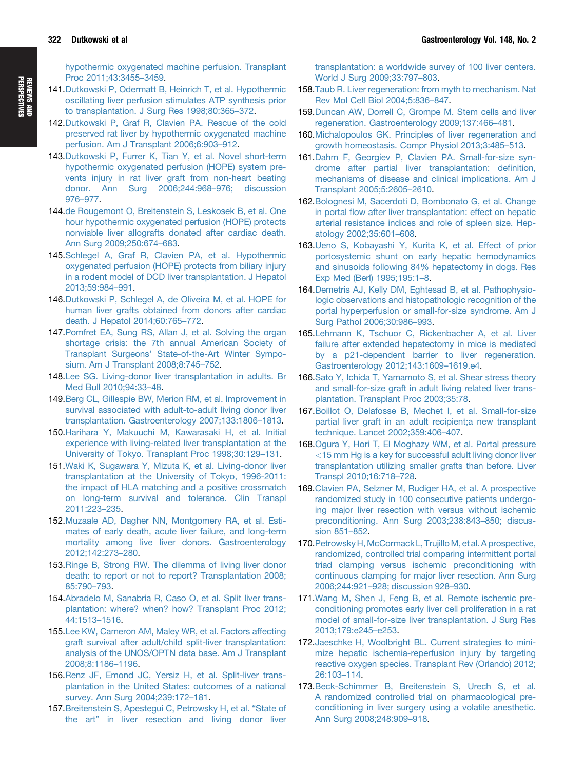<span id="page-15-0"></span>[hypothermic oxygenated machine perfusion. Transplant](http://refhub.elsevier.com/S0016-5085(14)01088-9/sref135) [Proc 2011;43:3455](http://refhub.elsevier.com/S0016-5085(14)01088-9/sref135)–[3459.](http://refhub.elsevier.com/S0016-5085(14)01088-9/sref135)

- 141[.Dutkowski P, Odermatt B, Heinrich T, et al. Hypothermic](http://refhub.elsevier.com/S0016-5085(14)01088-9/sref136) [oscillating liver perfusion stimulates ATP synthesis prior](http://refhub.elsevier.com/S0016-5085(14)01088-9/sref136) [to transplantation. J Surg Res 1998;80:365](http://refhub.elsevier.com/S0016-5085(14)01088-9/sref136)–[372](http://refhub.elsevier.com/S0016-5085(14)01088-9/sref136).
- 142[.Dutkowski P, Graf R, Clavien PA. Rescue of the cold](http://refhub.elsevier.com/S0016-5085(14)01088-9/sref137) [preserved rat liver by hypothermic oxygenated machine](http://refhub.elsevier.com/S0016-5085(14)01088-9/sref137) [perfusion. Am J Transplant 2006;6:903](http://refhub.elsevier.com/S0016-5085(14)01088-9/sref137)–[912](http://refhub.elsevier.com/S0016-5085(14)01088-9/sref137).
- 143[.Dutkowski P, Furrer K, Tian Y, et al. Novel short-term](http://refhub.elsevier.com/S0016-5085(14)01088-9/sref138) [hypothermic oxygenated perfusion \(HOPE\) system pre](http://refhub.elsevier.com/S0016-5085(14)01088-9/sref138)[vents injury in rat liver graft from non-heart beating](http://refhub.elsevier.com/S0016-5085(14)01088-9/sref138) [donor. Ann Surg 2006;244:968](http://refhub.elsevier.com/S0016-5085(14)01088-9/sref138)–[976; discussion](http://refhub.elsevier.com/S0016-5085(14)01088-9/sref138) [976](http://refhub.elsevier.com/S0016-5085(14)01088-9/sref138)–[977.](http://refhub.elsevier.com/S0016-5085(14)01088-9/sref138)
- 144[.de Rougemont O, Breitenstein S, Leskosek B, et al. One](http://refhub.elsevier.com/S0016-5085(14)01088-9/sref139) [hour hypothermic oxygenated perfusion \(HOPE\) protects](http://refhub.elsevier.com/S0016-5085(14)01088-9/sref139) [nonviable liver allografts donated after cardiac death.](http://refhub.elsevier.com/S0016-5085(14)01088-9/sref139) [Ann Surg 2009;250:674](http://refhub.elsevier.com/S0016-5085(14)01088-9/sref139)–[683](http://refhub.elsevier.com/S0016-5085(14)01088-9/sref139).
- 145[.Schlegel A, Graf R, Clavien PA, et al. Hypothermic](http://refhub.elsevier.com/S0016-5085(14)01088-9/sref140) [oxygenated perfusion \(HOPE\) protects from biliary injury](http://refhub.elsevier.com/S0016-5085(14)01088-9/sref140) [in a rodent model of DCD liver transplantation. J Hepatol](http://refhub.elsevier.com/S0016-5085(14)01088-9/sref140) [2013;59:984](http://refhub.elsevier.com/S0016-5085(14)01088-9/sref140)–[991](http://refhub.elsevier.com/S0016-5085(14)01088-9/sref140).
- 146[.Dutkowski P, Schlegel A, de Oliveira M, et al. HOPE for](http://refhub.elsevier.com/S0016-5085(14)01088-9/sref141) [human liver grafts obtained from donors after cardiac](http://refhub.elsevier.com/S0016-5085(14)01088-9/sref141) [death. J Hepatol 2014;60:765](http://refhub.elsevier.com/S0016-5085(14)01088-9/sref141)–[772.](http://refhub.elsevier.com/S0016-5085(14)01088-9/sref141)
- 147[.Pomfret EA, Sung RS, Allan J, et al. Solving the organ](http://refhub.elsevier.com/S0016-5085(14)01088-9/sref142) [shortage crisis: the 7th annual American Society of](http://refhub.elsevier.com/S0016-5085(14)01088-9/sref142) Transplant Surgeons' [State-of-the-Art Winter Sympo](http://refhub.elsevier.com/S0016-5085(14)01088-9/sref142)[sium. Am J Transplant 2008;8:745](http://refhub.elsevier.com/S0016-5085(14)01088-9/sref142)–[752](http://refhub.elsevier.com/S0016-5085(14)01088-9/sref142).
- 148[.Lee SG. Living-donor liver transplantation in adults. Br](http://refhub.elsevier.com/S0016-5085(14)01088-9/sref143) [Med Bull 2010;94:33](http://refhub.elsevier.com/S0016-5085(14)01088-9/sref143)–[48.](http://refhub.elsevier.com/S0016-5085(14)01088-9/sref143)
- 149[.Berg CL, Gillespie BW, Merion RM, et al. Improvement in](http://refhub.elsevier.com/S0016-5085(14)01088-9/sref144) [survival associated with adult-to-adult living donor liver](http://refhub.elsevier.com/S0016-5085(14)01088-9/sref144) [transplantation. Gastroenterology 2007;133:1806](http://refhub.elsevier.com/S0016-5085(14)01088-9/sref144)–[1813](http://refhub.elsevier.com/S0016-5085(14)01088-9/sref144).
- 150[.Harihara Y, Makuuchi M, Kawarasaki H, et al. Initial](http://refhub.elsevier.com/S0016-5085(14)01088-9/sref145) [experience with living-related liver transplantation at the](http://refhub.elsevier.com/S0016-5085(14)01088-9/sref145) [University of Tokyo. Transplant Proc 1998;30:129](http://refhub.elsevier.com/S0016-5085(14)01088-9/sref145)–[131](http://refhub.elsevier.com/S0016-5085(14)01088-9/sref145).
- 151[.Waki K, Sugawara Y, Mizuta K, et al. Living-donor liver](http://refhub.elsevier.com/S0016-5085(14)01088-9/sref146) [transplantation at the University of Tokyo, 1996-2011:](http://refhub.elsevier.com/S0016-5085(14)01088-9/sref146) [the impact of HLA matching and a positive crossmatch](http://refhub.elsevier.com/S0016-5085(14)01088-9/sref146) [on long-term survival and tolerance. Clin Transpl](http://refhub.elsevier.com/S0016-5085(14)01088-9/sref146) [2011:223](http://refhub.elsevier.com/S0016-5085(14)01088-9/sref146)–[235.](http://refhub.elsevier.com/S0016-5085(14)01088-9/sref146)
- 152[.Muzaale AD, Dagher NN, Montgomery RA, et al. Esti](http://refhub.elsevier.com/S0016-5085(14)01088-9/sref147)[mates of early death, acute liver failure, and long-term](http://refhub.elsevier.com/S0016-5085(14)01088-9/sref147) [mortality among live liver donors. Gastroenterology](http://refhub.elsevier.com/S0016-5085(14)01088-9/sref147) [2012;142:273](http://refhub.elsevier.com/S0016-5085(14)01088-9/sref147)–[280](http://refhub.elsevier.com/S0016-5085(14)01088-9/sref147).
- 153[.Ringe B, Strong RW. The dilemma of living liver donor](http://refhub.elsevier.com/S0016-5085(14)01088-9/sref148) [death: to report or not to report? Transplantation 2008;](http://refhub.elsevier.com/S0016-5085(14)01088-9/sref148) [85:790](http://refhub.elsevier.com/S0016-5085(14)01088-9/sref148)–[793](http://refhub.elsevier.com/S0016-5085(14)01088-9/sref148).
- 154[.Abradelo M, Sanabria R, Caso O, et al. Split liver trans](http://refhub.elsevier.com/S0016-5085(14)01088-9/sref149)[plantation: where? when? how? Transplant Proc 2012;](http://refhub.elsevier.com/S0016-5085(14)01088-9/sref149) [44:1513](http://refhub.elsevier.com/S0016-5085(14)01088-9/sref149)–[1516.](http://refhub.elsevier.com/S0016-5085(14)01088-9/sref149)
- 155.Lee [KW, Cameron AM, Maley WR, et al. Factors affecting](http://refhub.elsevier.com/S0016-5085(14)01088-9/sref150) [graft survival after adult/child split-liver transplantation:](http://refhub.elsevier.com/S0016-5085(14)01088-9/sref150) [analysis of the UNOS/OPTN data base. Am J Transplant](http://refhub.elsevier.com/S0016-5085(14)01088-9/sref150) [2008;8:1186](http://refhub.elsevier.com/S0016-5085(14)01088-9/sref150)–[1196](http://refhub.elsevier.com/S0016-5085(14)01088-9/sref150).
- 156[.Renz JF, Emond JC, Yersiz H, et al. Split-liver trans](http://refhub.elsevier.com/S0016-5085(14)01088-9/sref151)[plantation in the United States: outcomes of a national](http://refhub.elsevier.com/S0016-5085(14)01088-9/sref151) [survey. Ann Surg 2004;239:172](http://refhub.elsevier.com/S0016-5085(14)01088-9/sref151)–[181.](http://refhub.elsevier.com/S0016-5085(14)01088-9/sref151)
- 157[.Breitenstein S, Apestegui C, Petrowsky H, et al.](http://refhub.elsevier.com/S0016-5085(14)01088-9/sref152) "State of the art" [in liver resection and living donor liver](http://refhub.elsevier.com/S0016-5085(14)01088-9/sref152)

[transplantation: a worldwide survey of 100 liver centers.](http://refhub.elsevier.com/S0016-5085(14)01088-9/sref152) [World J Surg 2009;33:797](http://refhub.elsevier.com/S0016-5085(14)01088-9/sref152)–[803.](http://refhub.elsevier.com/S0016-5085(14)01088-9/sref152)

- 158[.Taub R. Liver regeneration: from myth to mechanism. Nat](http://refhub.elsevier.com/S0016-5085(14)01088-9/sref153) [Rev Mol Cell Biol 2004;5:836](http://refhub.elsevier.com/S0016-5085(14)01088-9/sref153)–[847](http://refhub.elsevier.com/S0016-5085(14)01088-9/sref153).
- 159[.Duncan AW, Dorrell C, Grompe M. Stem cells and liver](http://refhub.elsevier.com/S0016-5085(14)01088-9/sref154) [regeneration. Gastroenterology 2009;137:466](http://refhub.elsevier.com/S0016-5085(14)01088-9/sref154)–[481](http://refhub.elsevier.com/S0016-5085(14)01088-9/sref154).
- 160[.Michalopoulos GK. Principles of liver regeneration and](http://refhub.elsevier.com/S0016-5085(14)01088-9/sref155) [growth homeostasis. Compr Physiol 2013;3:485](http://refhub.elsevier.com/S0016-5085(14)01088-9/sref155)–[513.](http://refhub.elsevier.com/S0016-5085(14)01088-9/sref155)
- 161[.Dahm F, Georgiev P, Clavien PA. Small-for-size syn](http://refhub.elsevier.com/S0016-5085(14)01088-9/sref156)[drome after partial liver transplantation: de](http://refhub.elsevier.com/S0016-5085(14)01088-9/sref156)finition, [mechanisms of disease and clinical implications. Am J](http://refhub.elsevier.com/S0016-5085(14)01088-9/sref156) [Transplant 2005;5:2605](http://refhub.elsevier.com/S0016-5085(14)01088-9/sref156)–[2610](http://refhub.elsevier.com/S0016-5085(14)01088-9/sref156).
- 162[.Bolognesi M, Sacerdoti D, Bombonato G, et al. Change](http://refhub.elsevier.com/S0016-5085(14)01088-9/sref157) in portal fl[ow after liver transplantation: effect on hepatic](http://refhub.elsevier.com/S0016-5085(14)01088-9/sref157) [arterial resistance indices and role of spleen size. Hep](http://refhub.elsevier.com/S0016-5085(14)01088-9/sref157)[atology 2002;35:601](http://refhub.elsevier.com/S0016-5085(14)01088-9/sref157)–[608.](http://refhub.elsevier.com/S0016-5085(14)01088-9/sref157)
- 163[.Ueno S, Kobayashi Y, Kurita K, et al. Effect of prior](http://refhub.elsevier.com/S0016-5085(14)01088-9/sref158) [portosystemic shunt on early hepatic hemodynamics](http://refhub.elsevier.com/S0016-5085(14)01088-9/sref158) [and sinusoids following 84% hepatectomy in dogs. Res](http://refhub.elsevier.com/S0016-5085(14)01088-9/sref158) [Exp Med \(Berl\) 1995;195:1](http://refhub.elsevier.com/S0016-5085(14)01088-9/sref158)–[8](http://refhub.elsevier.com/S0016-5085(14)01088-9/sref158).
- 164[.Demetris AJ, Kelly DM, Eghtesad B, et al. Pathophysio](http://refhub.elsevier.com/S0016-5085(14)01088-9/sref159)[logic observations and histopathologic recognition of the](http://refhub.elsevier.com/S0016-5085(14)01088-9/sref159) [portal hyperperfusion or small-for-size syndrome. Am J](http://refhub.elsevier.com/S0016-5085(14)01088-9/sref159) [Surg Pathol 2006;30:986](http://refhub.elsevier.com/S0016-5085(14)01088-9/sref159)–[993](http://refhub.elsevier.com/S0016-5085(14)01088-9/sref159).
- 165[.Lehmann K, Tschuor C, Rickenbacher A, et al. Liver](http://refhub.elsevier.com/S0016-5085(14)01088-9/sref160) [failure after extended hepatectomy in mice is mediated](http://refhub.elsevier.com/S0016-5085(14)01088-9/sref160) [by a p21-dependent barrier to liver regeneration.](http://refhub.elsevier.com/S0016-5085(14)01088-9/sref160) [Gastroenterology 2012;143:1609](http://refhub.elsevier.com/S0016-5085(14)01088-9/sref160)–[1619.e4](http://refhub.elsevier.com/S0016-5085(14)01088-9/sref160).
- 166[.Sato Y, Ichida T, Yamamoto S, et al. Shear stress theory](http://refhub.elsevier.com/S0016-5085(14)01088-9/sref161) [and small-for-size graft in adult living related liver trans](http://refhub.elsevier.com/S0016-5085(14)01088-9/sref161)[plantation. Transplant Proc 2003;35:78](http://refhub.elsevier.com/S0016-5085(14)01088-9/sref161).
- 167[.Boillot O, Delafosse B, Mechet I, et al. Small-for-size](http://refhub.elsevier.com/S0016-5085(14)01088-9/sref162) [partial liver graft in an adult recipient;a new transplant](http://refhub.elsevier.com/S0016-5085(14)01088-9/sref162) [technique. Lancet 2002;359:406](http://refhub.elsevier.com/S0016-5085(14)01088-9/sref162)–[407.](http://refhub.elsevier.com/S0016-5085(14)01088-9/sref162)
- 168[.Ogura Y, Hori T, El Moghazy WM, et al. Portal pressure](http://refhub.elsevier.com/S0016-5085(14)01088-9/sref163) <15 [mm Hg is a key for successful adult living donor liver](http://refhub.elsevier.com/S0016-5085(14)01088-9/sref163) [transplantation utilizing smaller grafts than before. Liver](http://refhub.elsevier.com/S0016-5085(14)01088-9/sref163) [Transpl 2010;16:718](http://refhub.elsevier.com/S0016-5085(14)01088-9/sref163)–[728.](http://refhub.elsevier.com/S0016-5085(14)01088-9/sref163)
- 169[.Clavien PA, Selzner M, Rudiger HA, et al. A prospective](http://refhub.elsevier.com/S0016-5085(14)01088-9/sref164) [randomized study in 100 consecutive patients undergo](http://refhub.elsevier.com/S0016-5085(14)01088-9/sref164)[ing major liver resection with versus without ischemic](http://refhub.elsevier.com/S0016-5085(14)01088-9/sref164) [preconditioning. Ann Surg 2003;238:843](http://refhub.elsevier.com/S0016-5085(14)01088-9/sref164)–[850; discus](http://refhub.elsevier.com/S0016-5085(14)01088-9/sref164)[sion 851](http://refhub.elsevier.com/S0016-5085(14)01088-9/sref164)–[852](http://refhub.elsevier.com/S0016-5085(14)01088-9/sref164).
- 170. Petrowsky H, McCormack L, Trujillo M, et al. A prospective, [randomized, controlled trial comparing intermittent portal](http://refhub.elsevier.com/S0016-5085(14)01088-9/sref165) [triad clamping versus ischemic preconditioning with](http://refhub.elsevier.com/S0016-5085(14)01088-9/sref165) [continuous clamping for major liver resection. Ann Surg](http://refhub.elsevier.com/S0016-5085(14)01088-9/sref165) [2006;244:921](http://refhub.elsevier.com/S0016-5085(14)01088-9/sref165)–[928; discussion 928](http://refhub.elsevier.com/S0016-5085(14)01088-9/sref165)–[930](http://refhub.elsevier.com/S0016-5085(14)01088-9/sref165).
- 171[.Wang M, Shen J, Feng B, et al. Remote ischemic pre](http://refhub.elsevier.com/S0016-5085(14)01088-9/sref166)[conditioning promotes early liver cell proliferation in a rat](http://refhub.elsevier.com/S0016-5085(14)01088-9/sref166) [model of small-for-size liver transplantation. J Surg Res](http://refhub.elsevier.com/S0016-5085(14)01088-9/sref166) [2013;179:e245](http://refhub.elsevier.com/S0016-5085(14)01088-9/sref166)–[e253.](http://refhub.elsevier.com/S0016-5085(14)01088-9/sref166)
- 172[.Jaeschke H, Woolbright BL. Current strategies to mini](http://refhub.elsevier.com/S0016-5085(14)01088-9/sref167)[mize hepatic ischemia-reperfusion injury by targeting](http://refhub.elsevier.com/S0016-5085(14)01088-9/sref167) [reactive oxygen species. Transplant Rev \(Orlando\) 2012;](http://refhub.elsevier.com/S0016-5085(14)01088-9/sref167) [26:103](http://refhub.elsevier.com/S0016-5085(14)01088-9/sref167)–[114.](http://refhub.elsevier.com/S0016-5085(14)01088-9/sref167)
- 173[.Beck-Schimmer B, Breitenstein S, Urech S, et al.](http://refhub.elsevier.com/S0016-5085(14)01088-9/sref168) [A randomized controlled trial on pharmacological pre](http://refhub.elsevier.com/S0016-5085(14)01088-9/sref168)[conditioning in liver surgery using a volatile anesthetic.](http://refhub.elsevier.com/S0016-5085(14)01088-9/sref168) [Ann Surg 2008;248:909](http://refhub.elsevier.com/S0016-5085(14)01088-9/sref168)–[918](http://refhub.elsevier.com/S0016-5085(14)01088-9/sref168).